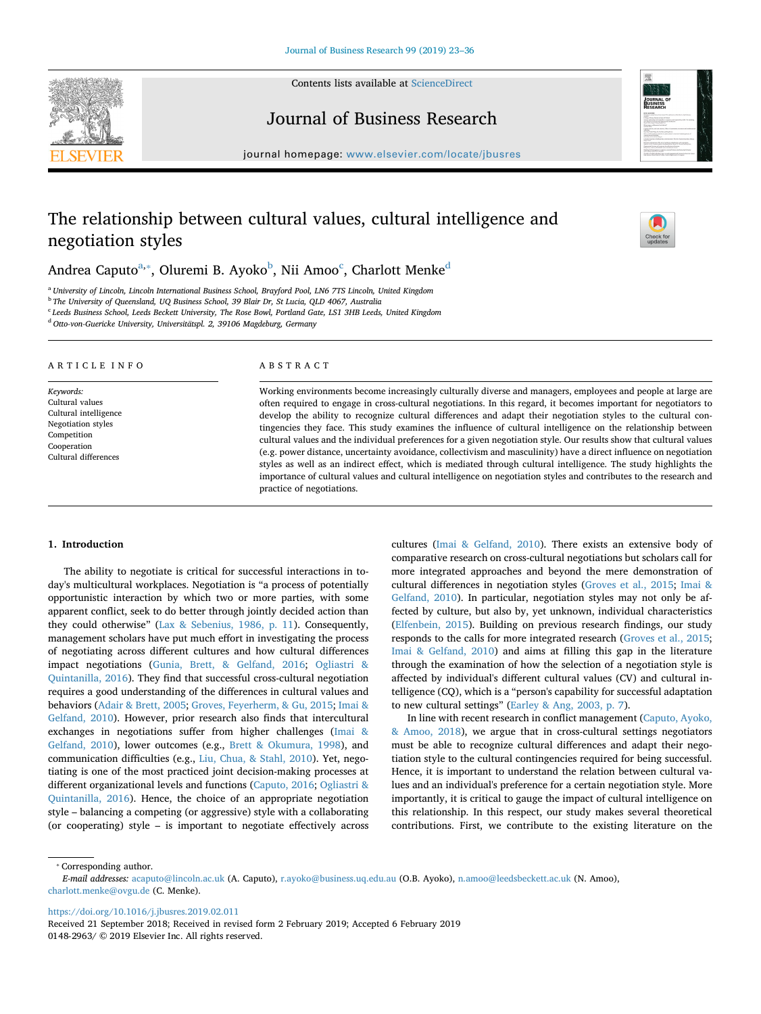Contents lists available at [ScienceDirect](http://www.sciencedirect.com/science/journal/01482963)





Journal of Business Research

journal homepage: [www.elsevier.com/locate/jbusres](https://www.elsevier.com/locate/jbusres)

# The relationship between cultural values, cultural intelligence and negotiation styles



Andrea Caputo $^{a,\ast},$  Oluremi B. Ayoko $^{\rm b}$ , Nii Amoo $^{\rm c}$  $^{\rm c}$  $^{\rm c}$ , Charlott Menke $^{\rm d}$ 

<span id="page-0-0"></span><sup>a</sup> *University of Lincoln, Lincoln International Business School, Brayford Pool, LN6 7TS Lincoln, United Kingdom*

<span id="page-0-2"></span><sup>b</sup> *The University of Queensland, UQ Business School, 39 Blair Dr, St Lucia, QLD 4067, Australia*

<span id="page-0-3"></span><sup>c</sup> *Leeds Business School, Leeds Beckett University, The Rose Bowl, Portland Gate, LS1 3HB Leeds, United Kingdom*

<span id="page-0-4"></span><sup>d</sup> *Otto-von-Guericke University, Universitätspl. 2, 39106 Magdeburg, Germany*

#### ARTICLE INFO

*Keywords:* Cultural values Cultural intelligence Negotiation styles Competition Cooperation Cultural differences

#### ABSTRACT

Working environments become increasingly culturally diverse and managers, employees and people at large are often required to engage in cross-cultural negotiations. In this regard, it becomes important for negotiators to develop the ability to recognize cultural differences and adapt their negotiation styles to the cultural contingencies they face. This study examines the influence of cultural intelligence on the relationship between cultural values and the individual preferences for a given negotiation style. Our results show that cultural values (e.g. power distance, uncertainty avoidance, collectivism and masculinity) have a direct influence on negotiation styles as well as an indirect effect, which is mediated through cultural intelligence. The study highlights the importance of cultural values and cultural intelligence on negotiation styles and contributes to the research and practice of negotiations.

### **1. Introduction**

The ability to negotiate is critical for successful interactions in today's multicultural workplaces. Negotiation is "a process of potentially opportunistic interaction by which two or more parties, with some apparent conflict, seek to do better through jointly decided action than they could otherwise" [\(Lax & Sebenius, 1986, p. 11\)](#page-12-0). Consequently, management scholars have put much effort in investigating the process of negotiating across different cultures and how cultural differences impact negotiations ([Gunia, Brett, & Gelfand, 2016;](#page-12-1) [Ogliastri &](#page-12-2) [Quintanilla, 2016](#page-12-2)). They find that successful cross-cultural negotiation requires a good understanding of the differences in cultural values and behaviors ([Adair & Brett, 2005;](#page-11-0) [Groves, Feyerherm, & Gu, 2015;](#page-12-3) [Imai &](#page-12-4) [Gelfand, 2010\)](#page-12-4). However, prior research also finds that intercultural exchanges in negotiations suffer from higher challenges ([Imai &](#page-12-4) [Gelfand, 2010\)](#page-12-4), lower outcomes (e.g., [Brett & Okumura, 1998\)](#page-12-5), and communication difficulties (e.g., [Liu, Chua, & Stahl, 2010\)](#page-12-6). Yet, negotiating is one of the most practiced joint decision-making processes at different organizational levels and functions ([Caputo, 2016](#page-12-7); [Ogliastri &](#page-12-2) [Quintanilla, 2016\)](#page-12-2). Hence, the choice of an appropriate negotiation style – balancing a competing (or aggressive) style with a collaborating (or cooperating) style – is important to negotiate effectively across

cultures ([Imai & Gelfand, 2010\)](#page-12-4). There exists an extensive body of comparative research on cross-cultural negotiations but scholars call for more integrated approaches and beyond the mere demonstration of cultural differences in negotiation styles [\(Groves et al., 2015;](#page-12-3) [Imai &](#page-12-4) [Gelfand, 2010\)](#page-12-4). In particular, negotiation styles may not only be affected by culture, but also by, yet unknown, individual characteristics ([Elfenbein, 2015\)](#page-12-8). Building on previous research findings, our study responds to the calls for more integrated research [\(Groves et al., 2015](#page-12-3); [Imai & Gelfand, 2010](#page-12-4)) and aims at filling this gap in the literature through the examination of how the selection of a negotiation style is affected by individual's different cultural values (CV) and cultural intelligence (CQ), which is a "person's capability for successful adaptation to new cultural settings" ([Earley & Ang, 2003, p. 7\)](#page-12-9).

In line with recent research in conflict management ([Caputo, Ayoko,](#page-12-10) [& Amoo, 2018\)](#page-12-10), we argue that in cross-cultural settings negotiators must be able to recognize cultural differences and adapt their negotiation style to the cultural contingencies required for being successful. Hence, it is important to understand the relation between cultural values and an individual's preference for a certain negotiation style. More importantly, it is critical to gauge the impact of cultural intelligence on this relationship. In this respect, our study makes several theoretical contributions. First, we contribute to the existing literature on the

<span id="page-0-1"></span>⁎ Corresponding author.

<https://doi.org/10.1016/j.jbusres.2019.02.011>

Received 21 September 2018; Received in revised form 2 February 2019; Accepted 6 February 2019 0148-2963/ © 2019 Elsevier Inc. All rights reserved.

*E-mail addresses:* [acaputo@lincoln.ac.uk](mailto:acaputo@lincoln.ac.uk) (A. Caputo), [r.ayoko@business.uq.edu.au](mailto:r.ayoko@business.uq.edu.au) (O.B. Ayoko), [n.amoo@leedsbeckett.ac.uk](mailto:n.amoo@leedsbeckett.ac.uk) (N. Amoo), [charlott.menke@ovgu.de](mailto:charlott.menke@ovgu.de) (C. Menke).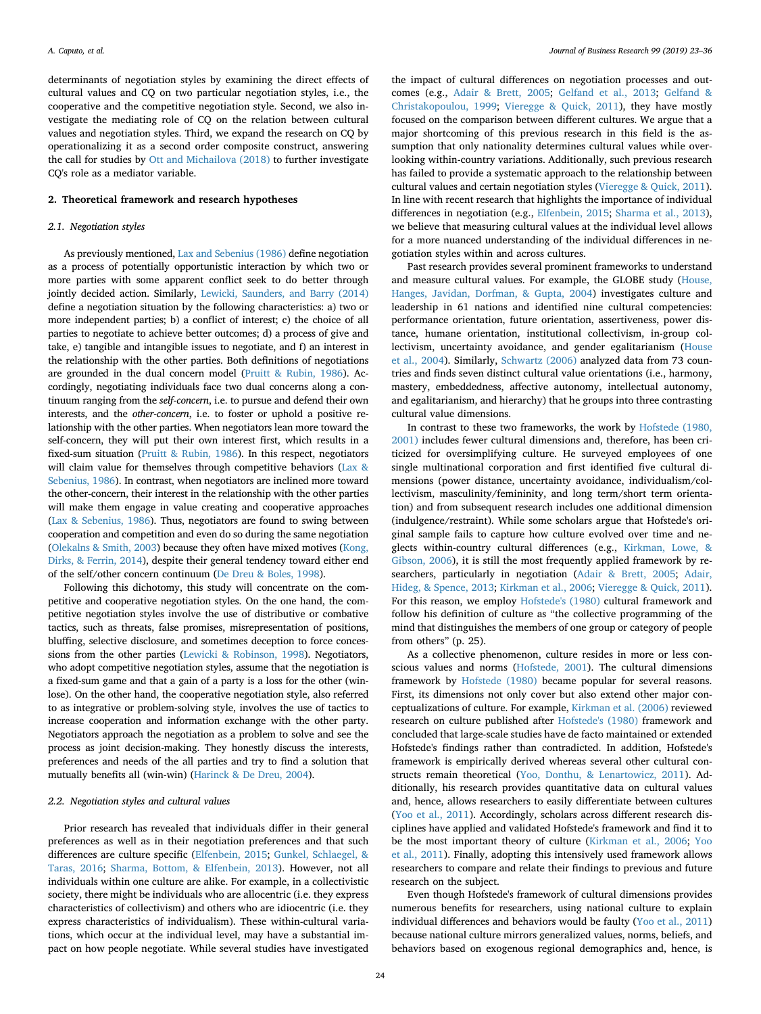determinants of negotiation styles by examining the direct effects of cultural values and CQ on two particular negotiation styles, i.e., the cooperative and the competitive negotiation style. Second, we also investigate the mediating role of CQ on the relation between cultural values and negotiation styles. Third, we expand the research on CQ by operationalizing it as a second order composite construct, answering the call for studies by [Ott and Michailova \(2018\)](#page-12-11) to further investigate CQ's role as a mediator variable.

## **2. Theoretical framework and research hypotheses**

### *2.1. Negotiation styles*

As previously mentioned, [Lax and Sebenius \(1986\)](#page-12-0) define negotiation as a process of potentially opportunistic interaction by which two or more parties with some apparent conflict seek to do better through jointly decided action. Similarly, [Lewicki, Saunders, and Barry \(2014\)](#page-12-12) define a negotiation situation by the following characteristics: a) two or more independent parties; b) a conflict of interest; c) the choice of all parties to negotiate to achieve better outcomes; d) a process of give and take, e) tangible and intangible issues to negotiate, and f) an interest in the relationship with the other parties. Both definitions of negotiations are grounded in the dual concern model ([Pruitt & Rubin, 1986](#page-13-0)). Accordingly, negotiating individuals face two dual concerns along a continuum ranging from the *self-concern*, i.e. to pursue and defend their own interests, and the *other-concern*, i.e. to foster or uphold a positive relationship with the other parties. When negotiators lean more toward the self-concern, they will put their own interest first, which results in a fixed-sum situation ([Pruitt & Rubin, 1986](#page-13-0)). In this respect, negotiators will claim value for themselves through competitive behaviors ([Lax &](#page-12-0) [Sebenius, 1986](#page-12-0)). In contrast, when negotiators are inclined more toward the other-concern, their interest in the relationship with the other parties will make them engage in value creating and cooperative approaches ([Lax & Sebenius, 1986\)](#page-12-0). Thus, negotiators are found to swing between cooperation and competition and even do so during the same negotiation ([Olekalns & Smith, 2003\)](#page-12-13) because they often have mixed motives ([Kong,](#page-12-14) [Dirks, & Ferrin, 2014](#page-12-14)), despite their general tendency toward either end of the self/other concern continuum [\(De Dreu & Boles, 1998](#page-12-15)).

Following this dichotomy, this study will concentrate on the competitive and cooperative negotiation styles. On the one hand, the competitive negotiation styles involve the use of distributive or combative tactics, such as threats, false promises, misrepresentation of positions, bluffing, selective disclosure, and sometimes deception to force concessions from the other parties ([Lewicki & Robinson, 1998](#page-12-16)). Negotiators, who adopt competitive negotiation styles, assume that the negotiation is a fixed-sum game and that a gain of a party is a loss for the other (winlose). On the other hand, the cooperative negotiation style, also referred to as integrative or problem-solving style, involves the use of tactics to increase cooperation and information exchange with the other party. Negotiators approach the negotiation as a problem to solve and see the process as joint decision-making. They honestly discuss the interests, preferences and needs of the all parties and try to find a solution that mutually benefits all (win-win) ([Harinck & De Dreu, 2004](#page-12-17)).

### *2.2. Negotiation styles and cultural values*

Prior research has revealed that individuals differ in their general preferences as well as in their negotiation preferences and that such differences are culture specific ([Elfenbein, 2015](#page-12-8); [Gunkel, Schlaegel, &](#page-12-18) [Taras, 2016;](#page-12-18) [Sharma, Bottom, & Elfenbein, 2013\)](#page-13-1). However, not all individuals within one culture are alike. For example, in a collectivistic society, there might be individuals who are allocentric (i.e. they express characteristics of collectivism) and others who are idiocentric (i.e. they express characteristics of individualism). These within-cultural variations, which occur at the individual level, may have a substantial impact on how people negotiate. While several studies have investigated

the impact of cultural differences on negotiation processes and outcomes (e.g., [Adair & Brett, 2005;](#page-11-0) [Gelfand et al., 2013;](#page-12-19) [Gelfand &](#page-12-20) [Christakopoulou, 1999;](#page-12-20) [Vieregge & Quick, 2011\)](#page-13-2), they have mostly focused on the comparison between different cultures. We argue that a major shortcoming of this previous research in this field is the assumption that only nationality determines cultural values while overlooking within-country variations. Additionally, such previous research has failed to provide a systematic approach to the relationship between cultural values and certain negotiation styles ([Vieregge & Quick, 2011](#page-13-2)). In line with recent research that highlights the importance of individual differences in negotiation (e.g., [Elfenbein, 2015;](#page-12-8) [Sharma et al., 2013](#page-13-1)), we believe that measuring cultural values at the individual level allows for a more nuanced understanding of the individual differences in negotiation styles within and across cultures.

Past research provides several prominent frameworks to understand and measure cultural values. For example, the GLOBE study ([House,](#page-12-21) [Hanges, Javidan, Dorfman, & Gupta, 2004\)](#page-12-21) investigates culture and leadership in 61 nations and identified nine cultural competencies: performance orientation, future orientation, assertiveness, power distance, humane orientation, institutional collectivism, in-group collectivism, uncertainty avoidance, and gender egalitarianism ([House](#page-12-21) [et al., 2004\)](#page-12-21). Similarly, [Schwartz \(2006\)](#page-13-3) analyzed data from 73 countries and finds seven distinct cultural value orientations (i.e., harmony, mastery, embeddedness, affective autonomy, intellectual autonomy, and egalitarianism, and hierarchy) that he groups into three contrasting cultural value dimensions.

In contrast to these two frameworks, the work by [Hofstede \(1980,](#page-12-22) [2001\)](#page-12-22) includes fewer cultural dimensions and, therefore, has been criticized for oversimplifying culture. He surveyed employees of one single multinational corporation and first identified five cultural dimensions (power distance, uncertainty avoidance, individualism/collectivism, masculinity/femininity, and long term/short term orientation) and from subsequent research includes one additional dimension (indulgence/restraint). While some scholars argue that Hofstede's original sample fails to capture how culture evolved over time and neglects within-country cultural differences (e.g., [Kirkman, Lowe, &](#page-12-23) [Gibson, 2006\)](#page-12-23), it is still the most frequently applied framework by researchers, particularly in negotiation [\(Adair & Brett, 2005;](#page-11-0) [Adair,](#page-11-1) [Hideg, & Spence, 2013;](#page-11-1) [Kirkman et al., 2006;](#page-12-23) [Vieregge & Quick, 2011](#page-13-2)). For this reason, we employ [Hofstede's \(1980\)](#page-12-22) cultural framework and follow his definition of culture as "the collective programming of the mind that distinguishes the members of one group or category of people from others" (p. 25).

As a collective phenomenon, culture resides in more or less conscious values and norms ([Hofstede, 2001\)](#page-12-24). The cultural dimensions framework by [Hofstede \(1980\)](#page-12-22) became popular for several reasons. First, its dimensions not only cover but also extend other major conceptualizations of culture. For example, [Kirkman et al. \(2006\)](#page-12-23) reviewed research on culture published after [Hofstede's \(1980\)](#page-12-22) framework and concluded that large-scale studies have de facto maintained or extended Hofstede's findings rather than contradicted. In addition, Hofstede's framework is empirically derived whereas several other cultural constructs remain theoretical [\(Yoo, Donthu, & Lenartowicz, 2011](#page-13-4)). Additionally, his research provides quantitative data on cultural values and, hence, allows researchers to easily differentiate between cultures ([Yoo et al., 2011\)](#page-13-4). Accordingly, scholars across different research disciplines have applied and validated Hofstede's framework and find it to be the most important theory of culture [\(Kirkman et al., 2006](#page-12-23); [Yoo](#page-13-4) [et al., 2011](#page-13-4)). Finally, adopting this intensively used framework allows researchers to compare and relate their findings to previous and future research on the subject.

Even though Hofstede's framework of cultural dimensions provides numerous benefits for researchers, using national culture to explain individual differences and behaviors would be faulty ([Yoo et al., 2011\)](#page-13-4) because national culture mirrors generalized values, norms, beliefs, and behaviors based on exogenous regional demographics and, hence, is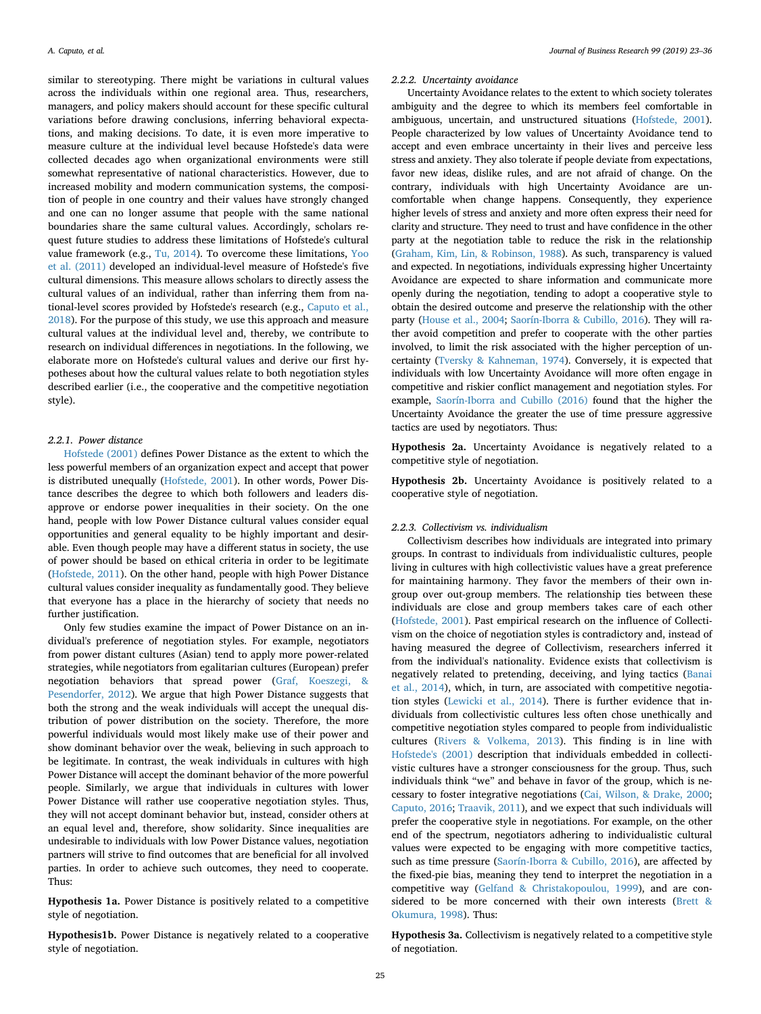similar to stereotyping. There might be variations in cultural values across the individuals within one regional area. Thus, researchers, managers, and policy makers should account for these specific cultural variations before drawing conclusions, inferring behavioral expectations, and making decisions. To date, it is even more imperative to measure culture at the individual level because Hofstede's data were collected decades ago when organizational environments were still somewhat representative of national characteristics. However, due to increased mobility and modern communication systems, the composition of people in one country and their values have strongly changed and one can no longer assume that people with the same national boundaries share the same cultural values. Accordingly, scholars request future studies to address these limitations of Hofstede's cultural value framework (e.g., [Tu, 2014\)](#page-13-5). To overcome these limitations, [Yoo](#page-13-4) [et al. \(2011\)](#page-13-4) developed an individual-level measure of Hofstede's five cultural dimensions. This measure allows scholars to directly assess the cultural values of an individual, rather than inferring them from national-level scores provided by Hofstede's research (e.g., [Caputo et al.,](#page-12-10) [2018\)](#page-12-10). For the purpose of this study, we use this approach and measure cultural values at the individual level and, thereby, we contribute to research on individual differences in negotiations. In the following, we elaborate more on Hofstede's cultural values and derive our first hypotheses about how the cultural values relate to both negotiation styles described earlier (i.e., the cooperative and the competitive negotiation style).

### *2.2.1. Power distance*

[Hofstede \(2001\)](#page-12-24) defines Power Distance as the extent to which the less powerful members of an organization expect and accept that power is distributed unequally ([Hofstede, 2001\)](#page-12-24). In other words, Power Distance describes the degree to which both followers and leaders disapprove or endorse power inequalities in their society. On the one hand, people with low Power Distance cultural values consider equal opportunities and general equality to be highly important and desirable. Even though people may have a different status in society, the use of power should be based on ethical criteria in order to be legitimate ([Hofstede, 2011](#page-12-25)). On the other hand, people with high Power Distance cultural values consider inequality as fundamentally good. They believe that everyone has a place in the hierarchy of society that needs no further justification.

Only few studies examine the impact of Power Distance on an individual's preference of negotiation styles. For example, negotiators from power distant cultures (Asian) tend to apply more power-related strategies, while negotiators from egalitarian cultures (European) prefer negotiation behaviors that spread power ([Graf, Koeszegi, &](#page-12-26) [Pesendorfer, 2012\)](#page-12-26). We argue that high Power Distance suggests that both the strong and the weak individuals will accept the unequal distribution of power distribution on the society. Therefore, the more powerful individuals would most likely make use of their power and show dominant behavior over the weak, believing in such approach to be legitimate. In contrast, the weak individuals in cultures with high Power Distance will accept the dominant behavior of the more powerful people. Similarly, we argue that individuals in cultures with lower Power Distance will rather use cooperative negotiation styles. Thus, they will not accept dominant behavior but, instead, consider others at an equal level and, therefore, show solidarity. Since inequalities are undesirable to individuals with low Power Distance values, negotiation partners will strive to find outcomes that are beneficial for all involved parties. In order to achieve such outcomes, they need to cooperate. Thus:

<span id="page-2-0"></span>**Hypothesis 1a.** Power Distance is positively related to a competitive style of negotiation.

<span id="page-2-1"></span>**Hypothesis1b.** Power Distance is negatively related to a cooperative style of negotiation.

#### *2.2.2. Uncertainty avoidance*

Uncertainty Avoidance relates to the extent to which society tolerates ambiguity and the degree to which its members feel comfortable in ambiguous, uncertain, and unstructured situations ([Hofstede, 2001\)](#page-12-24). People characterized by low values of Uncertainty Avoidance tend to accept and even embrace uncertainty in their lives and perceive less stress and anxiety. They also tolerate if people deviate from expectations, favor new ideas, dislike rules, and are not afraid of change. On the contrary, individuals with high Uncertainty Avoidance are uncomfortable when change happens. Consequently, they experience higher levels of stress and anxiety and more often express their need for clarity and structure. They need to trust and have confidence in the other party at the negotiation table to reduce the risk in the relationship ([Graham, Kim, Lin, & Robinson, 1988\)](#page-12-27). As such, transparency is valued and expected. In negotiations, individuals expressing higher Uncertainty Avoidance are expected to share information and communicate more openly during the negotiation, tending to adopt a cooperative style to obtain the desired outcome and preserve the relationship with the other party [\(House et al., 2004](#page-12-21); [Saorín-Iborra & Cubillo, 2016](#page-13-6)). They will rather avoid competition and prefer to cooperate with the other parties involved, to limit the risk associated with the higher perception of uncertainty [\(Tversky & Kahneman, 1974\)](#page-13-7). Conversely, it is expected that individuals with low Uncertainty Avoidance will more often engage in competitive and riskier conflict management and negotiation styles. For example, [Saorín-Iborra and Cubillo \(2016\)](#page-13-6) found that the higher the Uncertainty Avoidance the greater the use of time pressure aggressive tactics are used by negotiators. Thus:

<span id="page-2-2"></span>**Hypothesis 2a.** Uncertainty Avoidance is negatively related to a competitive style of negotiation.

<span id="page-2-3"></span>**Hypothesis 2b.** Uncertainty Avoidance is positively related to a cooperative style of negotiation.

### *2.2.3. Collectivism vs. individualism*

Collectivism describes how individuals are integrated into primary groups. In contrast to individuals from individualistic cultures, people living in cultures with high collectivistic values have a great preference for maintaining harmony. They favor the members of their own ingroup over out-group members. The relationship ties between these individuals are close and group members takes care of each other ([Hofstede, 2001\)](#page-12-24). Past empirical research on the influence of Collectivism on the choice of negotiation styles is contradictory and, instead of having measured the degree of Collectivism, researchers inferred it from the individual's nationality. Evidence exists that collectivism is negatively related to pretending, deceiving, and lying tactics ([Banai](#page-11-2) [et al., 2014\)](#page-11-2), which, in turn, are associated with competitive negotiation styles ([Lewicki et al., 2014\)](#page-12-12). There is further evidence that individuals from collectivistic cultures less often chose unethically and competitive negotiation styles compared to people from individualistic cultures [\(Rivers & Volkema, 2013](#page-13-8)). This finding is in line with [Hofstede's \(2001\)](#page-12-24) description that individuals embedded in collectivistic cultures have a stronger consciousness for the group. Thus, such individuals think "we" and behave in favor of the group, which is necessary to foster integrative negotiations [\(Cai, Wilson, & Drake, 2000](#page-12-28); [Caputo, 2016](#page-12-7); [Traavik, 2011\)](#page-13-9), and we expect that such individuals will prefer the cooperative style in negotiations. For example, on the other end of the spectrum, negotiators adhering to individualistic cultural values were expected to be engaging with more competitive tactics, such as time pressure [\(Saorín-Iborra & Cubillo, 2016](#page-13-6)), are affected by the fixed-pie bias, meaning they tend to interpret the negotiation in a competitive way ([Gelfand & Christakopoulou, 1999\)](#page-12-20), and are considered to be more concerned with their own interests ([Brett &](#page-12-5) [Okumura, 1998\)](#page-12-5). Thus:

<span id="page-2-5"></span><span id="page-2-4"></span>**Hypothesis 3a.** Collectivism is negatively related to a competitive style of negotiation.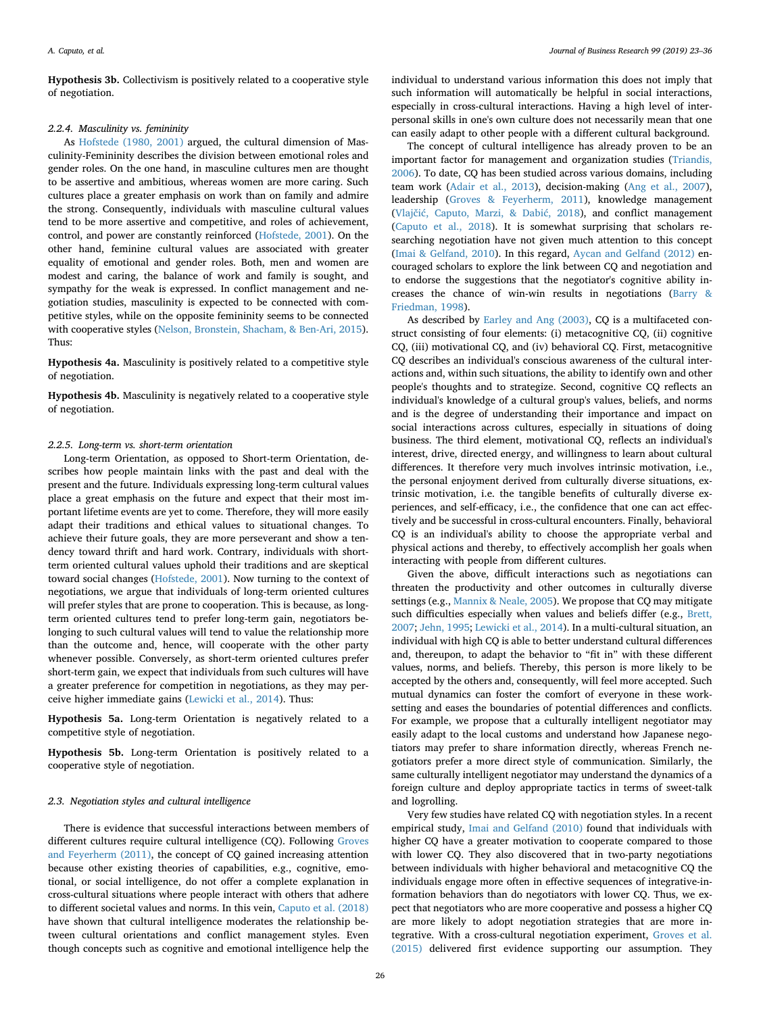**Hypothesis 3b.** Collectivism is positively related to a cooperative style of negotiation.

### *2.2.4. Masculinity vs. femininity*

As [Hofstede \(1980, 2001\)](#page-12-22) argued, the cultural dimension of Masculinity-Femininity describes the division between emotional roles and gender roles. On the one hand, in masculine cultures men are thought to be assertive and ambitious, whereas women are more caring. Such cultures place a greater emphasis on work than on family and admire the strong. Consequently, individuals with masculine cultural values tend to be more assertive and competitive, and roles of achievement, control, and power are constantly reinforced ([Hofstede, 2001\)](#page-12-24). On the other hand, feminine cultural values are associated with greater equality of emotional and gender roles. Both, men and women are modest and caring, the balance of work and family is sought, and sympathy for the weak is expressed. In conflict management and negotiation studies, masculinity is expected to be connected with competitive styles, while on the opposite femininity seems to be connected with cooperative styles ([Nelson, Bronstein, Shacham, & Ben-Ari, 2015](#page-12-29)). Thus:

<span id="page-3-0"></span>**Hypothesis 4a.** Masculinity is positively related to a competitive style of negotiation.

<span id="page-3-1"></span>**Hypothesis 4b.** Masculinity is negatively related to a cooperative style of negotiation.

#### *2.2.5. Long-term vs. short-term orientation*

Long-term Orientation, as opposed to Short-term Orientation, describes how people maintain links with the past and deal with the present and the future. Individuals expressing long-term cultural values place a great emphasis on the future and expect that their most important lifetime events are yet to come. Therefore, they will more easily adapt their traditions and ethical values to situational changes. To achieve their future goals, they are more perseverant and show a tendency toward thrift and hard work. Contrary, individuals with shortterm oriented cultural values uphold their traditions and are skeptical toward social changes [\(Hofstede, 2001\)](#page-12-24). Now turning to the context of negotiations, we argue that individuals of long-term oriented cultures will prefer styles that are prone to cooperation. This is because, as longterm oriented cultures tend to prefer long-term gain, negotiators belonging to such cultural values will tend to value the relationship more than the outcome and, hence, will cooperate with the other party whenever possible. Conversely, as short-term oriented cultures prefer short-term gain, we expect that individuals from such cultures will have a greater preference for competition in negotiations, as they may perceive higher immediate gains ([Lewicki et al., 2014\)](#page-12-12). Thus:

<span id="page-3-2"></span>**Hypothesis 5a.** Long-term Orientation is negatively related to a competitive style of negotiation.

<span id="page-3-3"></span>**Hypothesis 5b.** Long-term Orientation is positively related to a cooperative style of negotiation.

### *2.3. Negotiation styles and cultural intelligence*

There is evidence that successful interactions between members of different cultures require cultural intelligence (CQ). Following [Groves](#page-12-30) [and Feyerherm \(2011\)](#page-12-30), the concept of CQ gained increasing attention because other existing theories of capabilities, e.g., cognitive, emotional, or social intelligence, do not offer a complete explanation in cross-cultural situations where people interact with others that adhere to different societal values and norms. In this vein, [Caputo et al. \(2018\)](#page-12-10) have shown that cultural intelligence moderates the relationship between cultural orientations and conflict management styles. Even though concepts such as cognitive and emotional intelligence help the individual to understand various information this does not imply that such information will automatically be helpful in social interactions, especially in cross-cultural interactions. Having a high level of interpersonal skills in one's own culture does not necessarily mean that one can easily adapt to other people with a different cultural background.

The concept of cultural intelligence has already proven to be an important factor for management and organization studies [\(Triandis,](#page-13-10) [2006\)](#page-13-10). To date, CQ has been studied across various domains, including team work [\(Adair et al., 2013](#page-11-1)), decision-making ([Ang et al., 2007](#page-11-3)), leadership ([Groves & Feyerherm, 2011](#page-12-30)), knowledge management ([Vlajčić, Caputo, Marzi, & Dabić, 2018](#page-13-11)), and conflict management ([Caputo et al., 2018\)](#page-12-10). It is somewhat surprising that scholars researching negotiation have not given much attention to this concept ([Imai & Gelfand, 2010](#page-12-4)). In this regard, [Aycan and Gelfand \(2012\)](#page-11-4) encouraged scholars to explore the link between CQ and negotiation and to endorse the suggestions that the negotiator's cognitive ability increases the chance of win-win results in negotiations ([Barry &](#page-11-5) [Friedman, 1998](#page-11-5)).

As described by [Earley and Ang \(2003\),](#page-12-9) CQ is a multifaceted construct consisting of four elements: (i) metacognitive CQ, (ii) cognitive CQ, (iii) motivational CQ, and (iv) behavioral CQ. First, metacognitive CQ describes an individual's conscious awareness of the cultural interactions and, within such situations, the ability to identify own and other people's thoughts and to strategize. Second, cognitive CQ reflects an individual's knowledge of a cultural group's values, beliefs, and norms and is the degree of understanding their importance and impact on social interactions across cultures, especially in situations of doing business. The third element, motivational CQ, reflects an individual's interest, drive, directed energy, and willingness to learn about cultural differences. It therefore very much involves intrinsic motivation, i.e., the personal enjoyment derived from culturally diverse situations, extrinsic motivation, i.e. the tangible benefits of culturally diverse experiences, and self-efficacy, i.e., the confidence that one can act effectively and be successful in cross-cultural encounters. Finally, behavioral CQ is an individual's ability to choose the appropriate verbal and physical actions and thereby, to effectively accomplish her goals when interacting with people from different cultures.

Given the above, difficult interactions such as negotiations can threaten the productivity and other outcomes in culturally diverse settings (e.g., [Mannix & Neale, 2005\)](#page-12-31). We propose that CQ may mitigate such difficulties especially when values and beliefs differ (e.g., [Brett,](#page-12-32) [2007;](#page-12-32) [Jehn, 1995;](#page-12-33) [Lewicki et al., 2014\)](#page-12-12). In a multi-cultural situation, an individual with high CQ is able to better understand cultural differences and, thereupon, to adapt the behavior to "fit in" with these different values, norms, and beliefs. Thereby, this person is more likely to be accepted by the others and, consequently, will feel more accepted. Such mutual dynamics can foster the comfort of everyone in these worksetting and eases the boundaries of potential differences and conflicts. For example, we propose that a culturally intelligent negotiator may easily adapt to the local customs and understand how Japanese negotiators may prefer to share information directly, whereas French negotiators prefer a more direct style of communication. Similarly, the same culturally intelligent negotiator may understand the dynamics of a foreign culture and deploy appropriate tactics in terms of sweet-talk and logrolling.

Very few studies have related CQ with negotiation styles. In a recent empirical study, [Imai and Gelfand \(2010\)](#page-12-4) found that individuals with higher CQ have a greater motivation to cooperate compared to those with lower CQ. They also discovered that in two-party negotiations between individuals with higher behavioral and metacognitive CQ the individuals engage more often in effective sequences of integrative-information behaviors than do negotiators with lower CQ. Thus, we expect that negotiators who are more cooperative and possess a higher CQ are more likely to adopt negotiation strategies that are more integrative. With a cross-cultural negotiation experiment, [Groves et al.](#page-12-3) [\(2015\)](#page-12-3) delivered first evidence supporting our assumption. They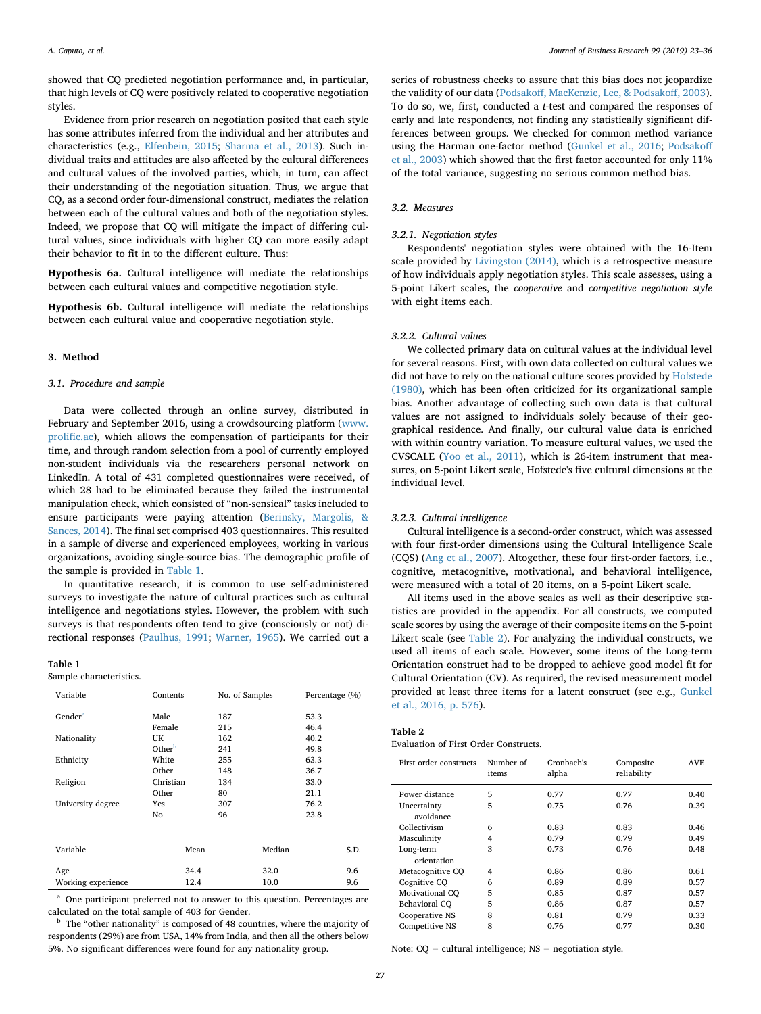showed that CQ predicted negotiation performance and, in particular, that high levels of CQ were positively related to cooperative negotiation styles.

Evidence from prior research on negotiation posited that each style has some attributes inferred from the individual and her attributes and characteristics (e.g., [Elfenbein, 2015](#page-12-8); [Sharma et al., 2013\)](#page-13-1). Such individual traits and attitudes are also affected by the cultural differences and cultural values of the involved parties, which, in turn, can affect their understanding of the negotiation situation. Thus, we argue that CQ, as a second order four-dimensional construct, mediates the relation between each of the cultural values and both of the negotiation styles. Indeed, we propose that CQ will mitigate the impact of differing cultural values, since individuals with higher CQ can more easily adapt their behavior to fit in to the different culture. Thus:

<span id="page-4-4"></span>**Hypothesis 6a.** Cultural intelligence will mediate the relationships between each cultural values and competitive negotiation style.

<span id="page-4-5"></span>**Hypothesis 6b.** Cultural intelligence will mediate the relationships between each cultural value and cooperative negotiation style.

#### **3. Method**

#### *3.1. Procedure and sample*

Data were collected through an online survey, distributed in February and September 2016, using a crowdsourcing platform ([www.](http://www.prolific.ac) [prolific.ac](http://www.prolific.ac)), which allows the compensation of participants for their time, and through random selection from a pool of currently employed non-student individuals via the researchers personal network on LinkedIn. A total of 431 completed questionnaires were received, of which 28 had to be eliminated because they failed the instrumental manipulation check, which consisted of "non-sensical" tasks included to ensure participants were paying attention [\(Berinsky, Margolis, &](#page-12-34) [Sances, 2014](#page-12-34)). The final set comprised 403 questionnaires. This resulted in a sample of diverse and experienced employees, working in various organizations, avoiding single-source bias. The demographic profile of the sample is provided in [Table 1](#page-4-0).

In quantitative research, it is common to use self-administered surveys to investigate the nature of cultural practices such as cultural intelligence and negotiations styles. However, the problem with such surveys is that respondents often tend to give (consciously or not) directional responses [\(Paulhus, 1991](#page-12-35); [Warner, 1965](#page-13-12)). We carried out a

#### <span id="page-4-0"></span>**Table 1**

Sample characteristics.

| Variable            | Contents           | No. of Samples | Percentage (%) |
|---------------------|--------------------|----------------|----------------|
| Gender <sup>a</sup> | Male               | 187            | 53.3           |
|                     | Female             | 215            | 46.4           |
| Nationality         | UK                 | 162            | 40.2           |
|                     | Other <sup>b</sup> | 241            | 49.8           |
| Ethnicity           | White              | 255            | 63.3           |
|                     | Other              | 148            | 36.7           |
| Religion            | Christian          | 134            | 33.0           |
|                     | Other              | 80             | 21.1           |
| University degree   | Yes                | 307            | 76.2           |
|                     | No                 | 96             | 23.8           |
|                     |                    |                |                |
| Variable            | Mean               |                | Median<br>S.D. |
| Age                 | 34.4               | 32.0           | 9.6            |
| Working experience  | 12.4               | 10.0           | 9.6            |

<span id="page-4-2"></span>One participant preferred not to answer to this question. Percentages are calculated on the total sample of 403 for Gender.

<span id="page-4-3"></span><sup>b</sup> The "other nationality" is composed of 48 countries, where the majority of respondents (29%) are from USA, 14% from India, and then all the others below 5%. No significant differences were found for any nationality group.

series of robustness checks to assure that this bias does not jeopardize the validity of our data [\(Podsakoff, MacKenzie, Lee, & Podsakoff, 2003](#page-12-36)). To do so, we, first, conducted a *t*-test and compared the responses of early and late respondents, not finding any statistically significant differences between groups. We checked for common method variance using the Harman one-factor method [\(Gunkel et al., 2016;](#page-12-18) [Podsakoff](#page-12-36) [et al., 2003\)](#page-12-36) which showed that the first factor accounted for only 11% of the total variance, suggesting no serious common method bias.

### *3.2. Measures*

### *3.2.1. Negotiation styles*

Respondents' negotiation styles were obtained with the 16-Item scale provided by [Livingston \(2014\)](#page-12-37), which is a retrospective measure of how individuals apply negotiation styles. This scale assesses, using a 5-point Likert scales, the *cooperative* and *competitive negotiation style* with eight items each.

### *3.2.2. Cultural values*

We collected primary data on cultural values at the individual level for several reasons. First, with own data collected on cultural values we did not have to rely on the national culture scores provided by [Hofstede](#page-12-22) [\(1980\),](#page-12-22) which has been often criticized for its organizational sample bias. Another advantage of collecting such own data is that cultural values are not assigned to individuals solely because of their geographical residence. And finally, our cultural value data is enriched with within country variation. To measure cultural values, we used the CVSCALE ([Yoo et al., 2011\)](#page-13-4), which is 26-item instrument that measures, on 5-point Likert scale, Hofstede's five cultural dimensions at the individual level.

### *3.2.3. Cultural intelligence*

Cultural intelligence is a second-order construct, which was assessed with four first-order dimensions using the Cultural Intelligence Scale (CQS) [\(Ang et al., 2007](#page-11-3)). Altogether, these four first-order factors, i.e., cognitive, metacognitive, motivational, and behavioral intelligence, were measured with a total of 20 items, on a 5-point Likert scale.

All items used in the above scales as well as their descriptive statistics are provided in the appendix. For all constructs, we computed scale scores by using the average of their composite items on the 5-point Likert scale (see [Table 2](#page-4-1)). For analyzing the individual constructs, we used all items of each scale. However, some items of the Long-term Orientation construct had to be dropped to achieve good model fit for Cultural Orientation (CV). As required, the revised measurement model provided at least three items for a latent construct (see e.g., [Gunkel](#page-12-18) [et al., 2016, p. 576](#page-12-18)).

<span id="page-4-1"></span>

| Table 2 |  |                                              |
|---------|--|----------------------------------------------|
|         |  | <b>Evaluation of First Order Constructs.</b> |

| Number of<br>items | Cronbach's<br>alpha | Composite<br>reliability | <b>AVE</b> |
|--------------------|---------------------|--------------------------|------------|
| 5                  | 0.77                | 0.77                     | 0.40       |
| 5                  | 0.75                | 0.76                     | 0.39       |
| 6                  | 0.83                | 0.83                     | 0.46       |
| 4                  | 0.79                | 0.79                     | 0.49       |
| 3                  | 0.73                | 0.76                     | 0.48       |
| 4                  | 0.86                | 0.86                     | 0.61       |
| 6                  | 0.89                | 0.89                     | 0.57       |
| 5                  | 0.85                | 0.87                     | 0.57       |
| 5                  | 0.86                | 0.87                     | 0.57       |
| 8                  | 0.81                | 0.79                     | 0.33       |
| 8                  | 0.76                | 0.77                     | 0.30       |
|                    |                     |                          |            |

Note:  $CQ =$  cultural intelligence;  $NS =$  negotiation style.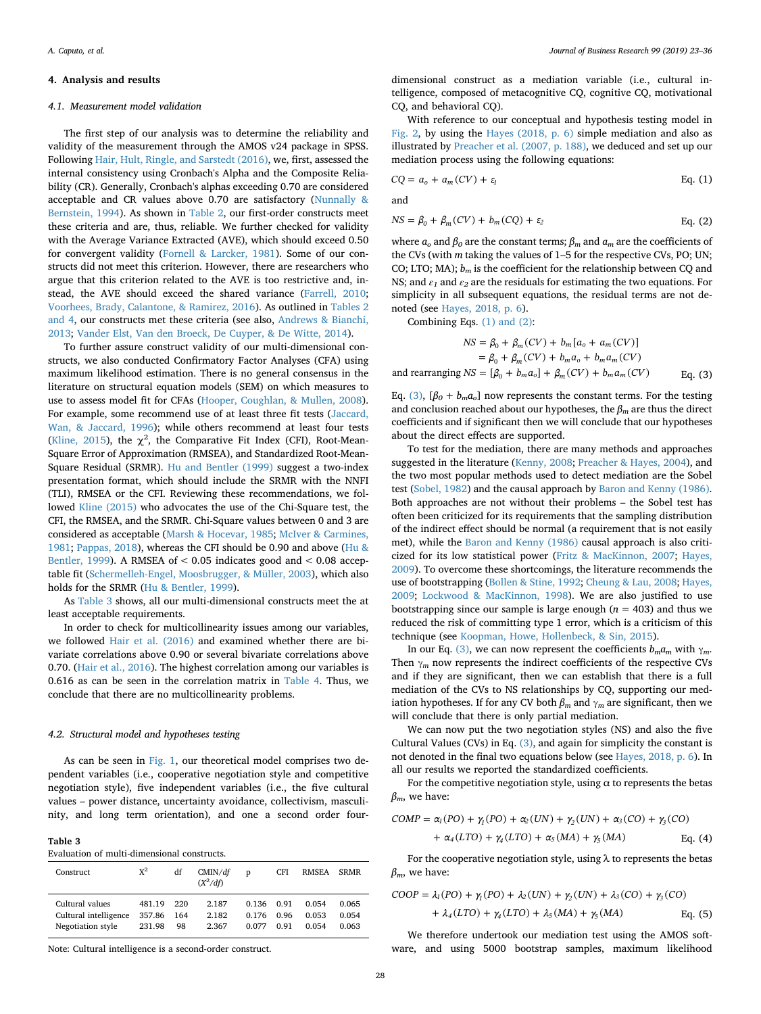#### **4. Analysis and results**

#### *4.1. Measurement model validation*

The first step of our analysis was to determine the reliability and validity of the measurement through the AMOS v24 package in SPSS. Following [Hair, Hult, Ringle, and Sarstedt \(2016\),](#page-12-38) we, first, assessed the internal consistency using Cronbach's Alpha and the Composite Reliability (CR). Generally, Cronbach's alphas exceeding 0.70 are considered acceptable and CR values above 0.70 are satisfactory [\(Nunnally &](#page-12-39) [Bernstein, 1994\)](#page-12-39). As shown in [Table 2,](#page-4-1) our first-order constructs meet these criteria and are, thus, reliable. We further checked for validity with the Average Variance Extracted (AVE), which should exceed 0.50 for convergent validity ([Fornell & Larcker, 1981\)](#page-12-40). Some of our constructs did not meet this criterion. However, there are researchers who argue that this criterion related to the AVE is too restrictive and, instead, the AVE should exceed the shared variance [\(Farrell, 2010](#page-12-41); [Voorhees, Brady, Calantone, & Ramirez, 2016\)](#page-13-13). As outlined in [Tables 2](#page-4-1) [and 4](#page-4-1), our constructs met these criteria (see also, [Andrews & Bianchi,](#page-11-6) [2013;](#page-11-6) [Vander Elst, Van den Broeck, De Cuyper, & De Witte, 2014\)](#page-13-14).

To further assure construct validity of our multi-dimensional constructs, we also conducted Confirmatory Factor Analyses (CFA) using maximum likelihood estimation. There is no general consensus in the literature on structural equation models (SEM) on which measures to use to assess model fit for CFAs [\(Hooper, Coughlan, & Mullen, 2008](#page-12-42)). For example, some recommend use of at least three fit tests [\(Jaccard,](#page-12-43) [Wan, & Jaccard, 1996](#page-12-43)); while others recommend at least four tests ([Kline, 2015](#page-12-44)), the  $\chi^2$ , the Comparative Fit Index (CFI), Root-Mean-Square Error of Approximation (RMSEA), and Standardized Root-Mean-Square Residual (SRMR). [Hu and Bentler \(1999\)](#page-12-45) suggest a two-index presentation format, which should include the SRMR with the NNFI (TLI), RMSEA or the CFI. Reviewing these recommendations, we followed [Kline \(2015\)](#page-12-44) who advocates the use of the Chi-Square test, the CFI, the RMSEA, and the SRMR. Chi-Square values between 0 and 3 are considered as acceptable [\(Marsh & Hocevar, 1985](#page-12-46); [McIver & Carmines,](#page-12-47) [1981;](#page-12-47) [Pappas, 2018](#page-12-48)), whereas the CFI should be 0.90 and above [\(Hu &](#page-12-45) [Bentler, 1999](#page-12-45)). A RMSEA of  $< 0.05$  indicates good and  $< 0.08$  acceptable fit [\(Schermelleh-Engel, Moosbrugger, & Müller, 2003\)](#page-13-15), which also holds for the SRMR ([Hu & Bentler, 1999](#page-12-45)).

As [Table 3](#page-5-0) shows, all our multi-dimensional constructs meet the at least acceptable requirements.

In order to check for multicollinearity issues among our variables, we followed [Hair et al. \(2016\)](#page-12-38) and examined whether there are bivariate correlations above 0.90 or several bivariate correlations above 0.70. ([Hair et al., 2016](#page-12-38)). The highest correlation among our variables is 0.616 as can be seen in the correlation matrix in [Table 4](#page-6-0). Thus, we conclude that there are no multicollinearity problems.

### <span id="page-5-3"></span>*4.2. Structural model and hypotheses testing*

As can be seen in [Fig. 1](#page-6-1), our theoretical model comprises two dependent variables (i.e., cooperative negotiation style and competitive negotiation style), five independent variables (i.e., the five cultural values – power distance, uncertainty avoidance, collectivism, masculinity, and long term orientation), and one a second order four-

<span id="page-5-0"></span>**Table 3**

Evaluation of multi-dimensional constructs.

| Construct             | $\mathrm{x}^2$ | df  | CMIN/df<br>$(X^2/df)$ | D     | <b>CFI</b> | <b>RMSEA</b> | <b>SRMR</b> |
|-----------------------|----------------|-----|-----------------------|-------|------------|--------------|-------------|
| Cultural values       | 481.19         | 220 | 2.187                 | 0.136 | 0.91       | 0.054        | 0.065       |
| Cultural intelligence | 357.86         | 164 | 2.182                 | 0.176 | 0.96       | 0.053        | 0.054       |
| Negotiation style     | 231.98         | 98  | 2.367                 | 0.077 | 0.91       | 0.054        | 0.063       |

Note: Cultural intelligence is a second-order construct.

dimensional construct as a mediation variable (i.e., cultural intelligence, composed of metacognitive CQ, cognitive CQ, motivational CQ, and behavioral CQ).

With reference to our conceptual and hypothesis testing model in [Fig. 2](#page-7-0), by using the [Hayes \(2018, p. 6\)](#page-12-49) simple mediation and also as illustrated by [Preacher et al. \(2007, p. 188\),](#page-12-50) we deduced and set up our mediation process using the following equations:

<span id="page-5-1"></span>
$$
CQ = a_o + a_m(CV) + \varepsilon_l \tag{1}
$$

and

$$
NS = \beta_0 + \beta_m(CV) + b_m(CQ) + \varepsilon_2
$$
 Eq. (2)

where  $a_0$  and  $\beta_0$  are the constant terms;  $\beta_m$  and  $a_m$  are the coefficients of the CVs (with *m* taking the values of 1–5 for the respective CVs, PO; UN; CO; LTO; MA);  $b_m$  is the coefficient for the relationship between CQ and NS; and *ε<sup>1</sup>* and *ε<sup>2</sup>* are the residuals for estimating the two equations. For simplicity in all subsequent equations, the residual terms are not denoted (see [Hayes, 2018, p. 6\)](#page-12-49).

<span id="page-5-2"></span>Combining Eqs. [\(1\) and \(2\):](#page-5-1)

$$
NS = \beta_0 + \beta_m(CV) + b_m [a_0 + a_m(CV)]
$$
  
=  $\beta_0 + \beta_m(CV) + b_m a_0 + b_m a_m(CV)$   
and rearranging  $NS = [\beta_0 + b_m a_0] + \beta_m(CV) + b_m a_m(CV)$  Eq. (3)

Eq. [\(3\),](#page-5-2)  $[\beta_0 + b_m a_0]$  now represents the constant terms. For the testing and conclusion reached about our hypotheses, the *βm* are thus the direct coefficients and if significant then we will conclude that our hypotheses about the direct effects are supported.

To test for the mediation, there are many methods and approaches suggested in the literature ([Kenny, 2008](#page-12-51); [Preacher & Hayes, 2004](#page-12-52)), and the two most popular methods used to detect mediation are the Sobel test [\(Sobel, 1982\)](#page-13-16) and the causal approach by [Baron and Kenny \(1986\)](#page-11-7). Both approaches are not without their problems – the Sobel test has often been criticized for its requirements that the sampling distribution of the indirect effect should be normal (a requirement that is not easily met), while the [Baron and Kenny \(1986\)](#page-11-7) causal approach is also criticized for its low statistical power ([Fritz & MacKinnon, 2007](#page-12-53); [Hayes,](#page-12-54) [2009\)](#page-12-54). To overcome these shortcomings, the literature recommends the use of bootstrapping ([Bollen & Stine, 1992;](#page-12-55) [Cheung & Lau, 2008;](#page-12-56) [Hayes,](#page-12-54) [2009;](#page-12-54) [Lockwood & MacKinnon, 1998\)](#page-12-57). We are also justified to use bootstrapping since our sample is large enough  $(n = 403)$  and thus we reduced the risk of committing type 1 error, which is a criticism of this technique (see [Koopman, Howe, Hollenbeck, & Sin, 2015](#page-12-58)).

In our Eq. [\(3\)](#page-5-2), we can now represent the coefficients  $b_m a_m$  with  $\gamma_m$ . Then  $\gamma_m$  now represents the indirect coefficients of the respective CVs and if they are significant, then we can establish that there is a full mediation of the CVs to NS relationships by CQ, supporting our mediation hypotheses. If for any CV both  $\beta_m$  and  $\gamma_m$  are significant, then we will conclude that there is only partial mediation.

We can now put the two negotiation styles (NS) and also the five Cultural Values (CVs) in Eq. [\(3\)](#page-5-2), and again for simplicity the constant is not denoted in the final two equations below (see [Hayes, 2018, p. 6](#page-12-49)). In all our results we reported the standardized coefficients.

For the competitive negotiation style, using  $\alpha$  to represents the betas *βm*, we have:

$$
COMP = \alpha_1(PO) + \gamma_1(PO) + \alpha_2(UN) + \gamma_2(UN) + \alpha_3(CO) + \gamma_3(CO) + \alpha_4(LTO) + \gamma_4(LTO) + \alpha_5(MA) + \gamma_5(MA)
$$
 Eq. (4)

For the cooperative negotiation style, using *λ* to represents the betas *βm*, we have:

$$
COOP = \lambda_1(PO) + \gamma_1(PO) + \lambda_2(UN) + \gamma_2(UN) + \lambda_3(CO) + \gamma_3(CO)
$$
  
+  $\lambda_4(LTO) + \gamma_4(LTO) + \lambda_5(MA) + \gamma_5(MA)$  Eq. (5)

We therefore undertook our mediation test using the AMOS software, and using 5000 bootstrap samples, maximum likelihood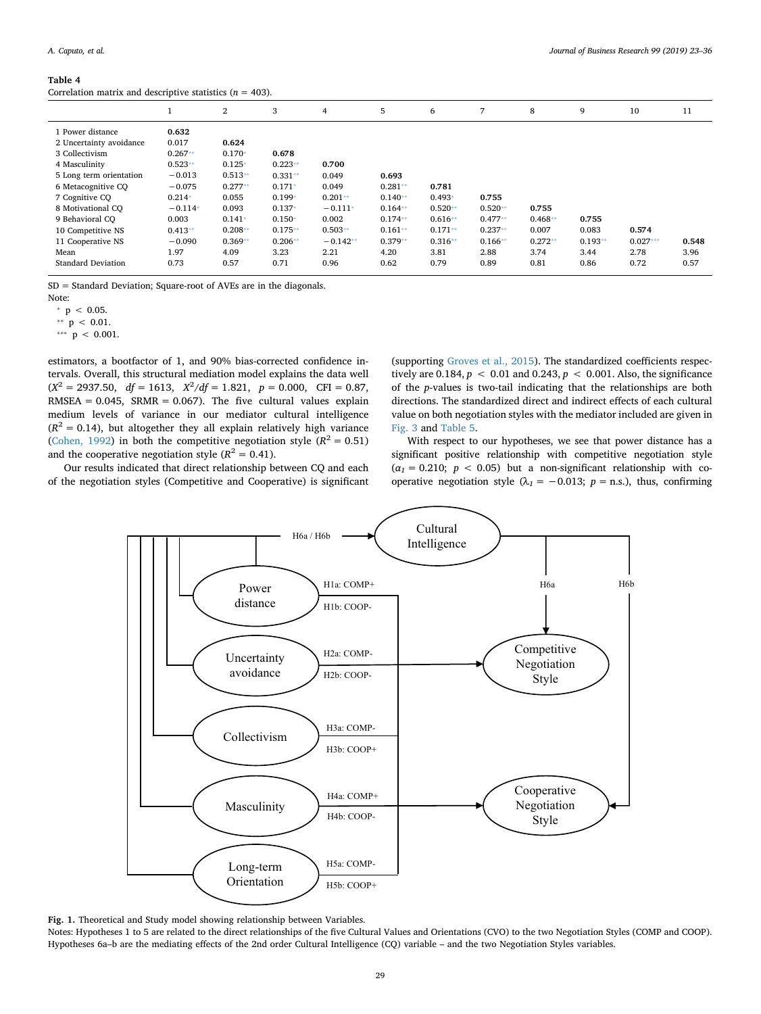#### <span id="page-6-0"></span>**Table 4**

Correlation matrix and descriptive statistics  $(n = 403)$ .

|                                                                                                                                                                                                                                     |                                                                                                                             | $\overline{2}$                                                                                                  | 3                                                                                                         | 4                                                                                     | 5                                                                                   | 6                                                                     | 7                                                         | 8                                        | 9                           | 10                  | 11           |
|-------------------------------------------------------------------------------------------------------------------------------------------------------------------------------------------------------------------------------------|-----------------------------------------------------------------------------------------------------------------------------|-----------------------------------------------------------------------------------------------------------------|-----------------------------------------------------------------------------------------------------------|---------------------------------------------------------------------------------------|-------------------------------------------------------------------------------------|-----------------------------------------------------------------------|-----------------------------------------------------------|------------------------------------------|-----------------------------|---------------------|--------------|
| 1 Power distance<br>2 Uncertainty avoidance<br>3 Collectivism<br>4 Masculinity<br>5 Long term orientation<br>6 Metacognitive CQ<br>7 Cognitive CO<br>8 Motivational CO<br>9 Behavioral CO<br>10 Competitive NS<br>11 Cooperative NS | 0.632<br>0.017<br>$0.267**$<br>$0.523**$<br>$-0.013$<br>$-0.075$<br>$0.214*$<br>$-0.114*$<br>0.003<br>$0.413**$<br>$-0.090$ | 0.624<br>$0.170*$<br>$0.125*$<br>$0.513**$<br>$0.277**$<br>0.055<br>0.093<br>$0.141*$<br>$0.208**$<br>$0.369**$ | 0.678<br>$0.223**$<br>$0.331**$<br>$0.171*$<br>$0.199*$<br>$0.137*$<br>$0.150*$<br>$0.175**$<br>$0.206**$ | 0.700<br>0.049<br>0.049<br>$0.201**$<br>$-0.111*$<br>0.002<br>$0.503**$<br>$-0.142**$ | 0.693<br>$0.281**$<br>$0.140**$<br>$0.164**$<br>$0.174**$<br>$0.161**$<br>$0.379**$ | 0.781<br>$0.493*$<br>$0.520**$<br>$0.616**$<br>$0.171**$<br>$0.316**$ | 0.755<br>$0.520**$<br>$0.477**$<br>$0.237**$<br>$0.166**$ | 0.755<br>$0.468**$<br>0.007<br>$0.272**$ | 0.755<br>0.083<br>$0.193**$ | 0.574<br>$0.027***$ | 0.548        |
| Mean<br><b>Standard Deviation</b>                                                                                                                                                                                                   | 1.97<br>0.73                                                                                                                | 4.09<br>0.57                                                                                                    | 3.23<br>0.71                                                                                              | 2.21<br>0.96                                                                          | 4.20<br>0.62                                                                        | 3.81<br>0.79                                                          | 2.88<br>0.89                                              | 3.74<br>0.81                             | 3.44<br>0.86                | 2.78<br>0.72        | 3.96<br>0.57 |
|                                                                                                                                                                                                                                     |                                                                                                                             |                                                                                                                 |                                                                                                           |                                                                                       |                                                                                     |                                                                       |                                                           |                                          |                             |                     |              |

SD = Standard Deviation; Square-root of AVEs are in the diagonals.

<span id="page-6-3"></span> $~^{\ast}$  p < 0.05.

<span id="page-6-2"></span>\*\*  $p < 0.01$ .

<span id="page-6-4"></span>\*\*\*  $p < 0.001$ .

estimators, a bootfactor of 1, and 90% bias-corrected confidence intervals. Overall, this structural mediation model explains the data well  $(X^2 = 2937.50, \text{ df} = 1613, \text{ } X^2/\text{ df} = 1.821, \text{ } p = 0.000, \text{ CFI} = 0.87,$ RMSEA =  $0.045$ , SRMR =  $0.067$ ). The five cultural values explain medium levels of variance in our mediator cultural intelligence  $(R<sup>2</sup> = 0.14)$ , but altogether they all explain relatively high variance ([Cohen, 1992\)](#page-12-59) in both the competitive negotiation style  $(R^2 = 0.51)$ and the cooperative negotiation style ( $R^2 = 0.41$ ).

<span id="page-6-1"></span>Our results indicated that direct relationship between CQ and each of the negotiation styles (Competitive and Cooperative) is significant (supporting [Groves et al., 2015](#page-12-3)). The standardized coefficients respectively are 0.184,  $p < 0.01$  and 0.243,  $p < 0.001$ . Also, the significance of the *p*-values is two-tail indicating that the relationships are both directions. The standardized direct and indirect effects of each cultural value on both negotiation styles with the mediator included are given in [Fig. 3](#page-7-1) and [Table 5.](#page-8-0)

With respect to our hypotheses, we see that power distance has a significant positive relationship with competitive negotiation style  $(\alpha_1 = 0.210; p < 0.05)$  but a non-significant relationship with cooperative negotiation style ( $\lambda_1$  = -0.013; *p* = n.s.), thus, confirming



**Fig. 1.** Theoretical and Study model showing relationship between Variables.

Notes: Hypotheses 1 to 5 are related to the direct relationships of the five Cultural Values and Orientations (CVO) to the two Negotiation Styles (COMP and COOP). Hypotheses 6a–b are the mediating effects of the 2nd order Cultural Intelligence (CQ) variable – and the two Negotiation Styles variables.

Note: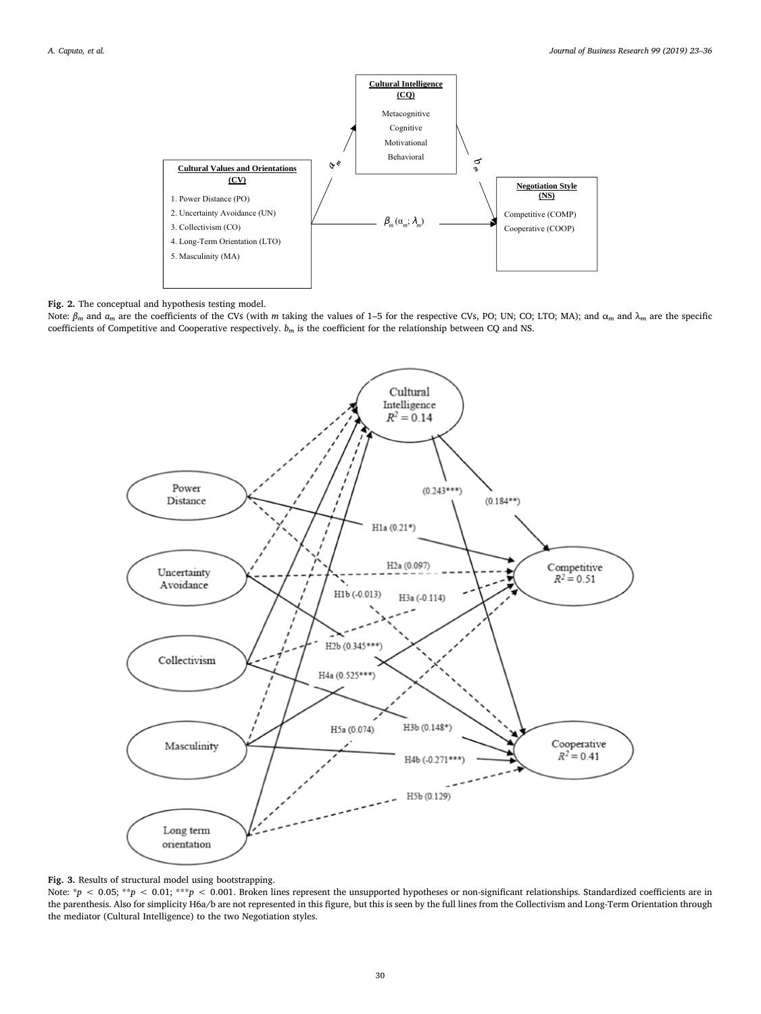<span id="page-7-0"></span>

**Fig. 2.** The conceptual and hypothesis testing model.

<span id="page-7-1"></span>Note: *βm* and *am* are the coefficients of the CVs (with *m* taking the values of 1–5 for the respective CVs, PO; UN; CO; LTO; MA); and α*<sup>m</sup>* and *λm* are the specific coefficients of Competitive and Cooperative respectively. *bm* is the coefficient for the relationship between CQ and NS.





Note:  $*p < 0.05$ ;  $* p < 0.01$ ;  $** p < 0.001$ . Broken lines represent the unsupported hypotheses or non-significant relationships. Standardized coefficients are in the parenthesis. Also for simplicity H6a/b are not represented in this figure, but this is seen by the full lines from the Collectivism and Long-Term Orientation through the mediator (Cultural Intelligence) to the two Negotiation styles.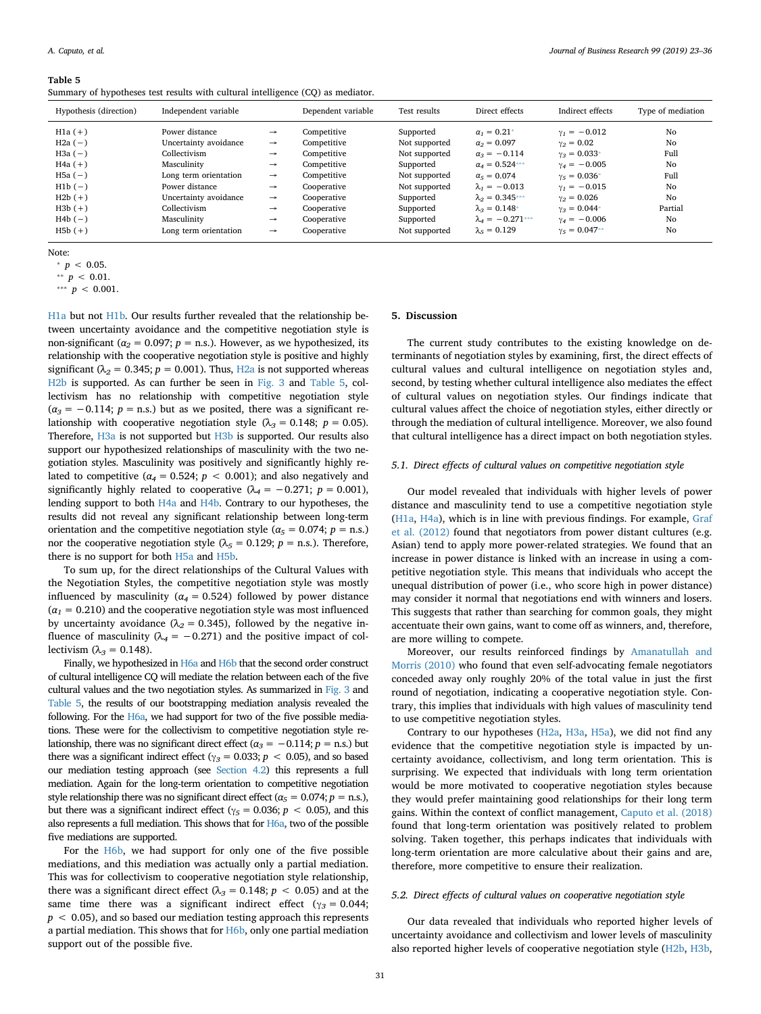<span id="page-8-0"></span>

| Hypothesis (direction) | Independent variable  |               | Dependent variable | Test results  | Direct effects          | Indirect effects | Type of mediation |
|------------------------|-----------------------|---------------|--------------------|---------------|-------------------------|------------------|-------------------|
| $H1a (+)$              | Power distance        | $\rightarrow$ | Competitive        | Supported     | $\alpha_1 = 0.21^*$     | $y_1 = -0.012$   | No                |
| $H2a(-)$               | Uncertainty avoidance | $\rightarrow$ | Competitive        | Not supported | $\alpha_2 = 0.097$      | $y_2 = 0.02$     | No                |
| $H3a(-)$               | Collectivism          | $\rightarrow$ | Competitive        | Not supported | $\alpha_2 = -0.114$     | $y_3 = 0.033^*$  | Full              |
| $H4a (+)$              | Masculinity           | $\rightarrow$ | Competitive        | Supported     | $\alpha_4 = 0.524***$   | $v_4 = -0.005$   | No                |
| H <sub>5a</sub> $(-)$  | Long term orientation | $\rightarrow$ | Competitive        | Not supported | $\alpha_5 = 0.074$      | $y_5 = 0.036^*$  | Full              |
| $H1b(-)$               | Power distance        | $\rightarrow$ | Cooperative        | Not supported | $\lambda_1 = -0.013$    | $y_1 = -0.015$   | No                |
| $H2b (+)$              | Uncertainty avoidance | $\rightarrow$ | Cooperative        | Supported     | $\lambda_2 = 0.345***$  | $y_2 = 0.026$    | No                |
| $H3b (+)$              | Collectivism          | $\rightarrow$ | Cooperative        | Supported     | $\lambda_3 = 0.148^*$   | $y_3 = 0.044*$   | Partial           |
| $H4b(-)$               | Masculinity           | $\rightarrow$ | Cooperative        | Supported     | $\lambda_4 = -0.271***$ | $y_4 = -0.006$   | No                |
| $H5b (+)$              | Long term orientation | $\rightarrow$ | Cooperative        | Not supported | $\lambda_5 = 0.129$     | $y_5 = 0.047**$  | No                |

Note:

<span id="page-8-1"></span> $p < 0.05$ .

<span id="page-8-3"></span>\*\*  $p$  < 0.01.

<span id="page-8-2"></span>\*\*\*  $p$  < 0.001.

[H1a](#page-2-0) but not [H1b.](#page-2-1) Our results further revealed that the relationship between uncertainty avoidance and the competitive negotiation style is non-significant ( $\alpha_2 = 0.097$ ;  $p =$  n.s.). However, as we hypothesized, its relationship with the cooperative negotiation style is positive and highly significant ( $\lambda_2 = 0.345$ ;  $p = 0.001$ ). Thus, H<sub>2a</sub> is not supported whereas [H2b](#page-2-3) is supported. As can further be seen in [Fig. 3](#page-7-1) and [Table 5](#page-8-0), collectivism has no relationship with competitive negotiation style  $(\alpha_3 = -0.114; p = n.s.)$  but as we posited, there was a significant relationship with cooperative negotiation style ( $\lambda_3 = 0.148$ ;  $p = 0.05$ ). Therefore, [H3a](#page-2-4) is not supported but [H3b](#page-2-5) is supported. Our results also support our hypothesized relationships of masculinity with the two negotiation styles. Masculinity was positively and significantly highly related to competitive ( $\alpha_4$  = 0.524;  $p < 0.001$ ); and also negatively and significantly highly related to cooperative ( $\lambda_4 = -0.271$ ;  $p = 0.001$ ), lending support to both [H4a](#page-3-0) and [H4b](#page-3-1). Contrary to our hypotheses, the results did not reveal any significant relationship between long-term orientation and the competitive negotiation style ( $\alpha_5 = 0.074$ ;  $p =$  n.s.) nor the cooperative negotiation style ( $\lambda_5 = 0.129$ ;  $p =$  n.s.). Therefore, there is no support for both [H5a](#page-3-2) and [H5b](#page-3-3).

To sum up, for the direct relationships of the Cultural Values with the Negotiation Styles, the competitive negotiation style was mostly influenced by masculinity ( $\alpha_4$  = 0.524) followed by power distance  $(\alpha_1 = 0.210)$  and the cooperative negotiation style was most influenced by uncertainty avoidance ( $\lambda_2$  = 0.345), followed by the negative influence of masculinity ( $\lambda_4$  = -0.271) and the positive impact of collectivism ( $λ_3$  = 0.148).

Finally, we hypothesized in [H6a](#page-4-4) and [H6b](#page-4-5) that the second order construct of cultural intelligence CQ will mediate the relation between each of the five cultural values and the two negotiation styles. As summarized in [Fig. 3](#page-7-1) and [Table 5](#page-8-0), the results of our bootstrapping mediation analysis revealed the following. For the [H6a](#page-4-4), we had support for two of the five possible mediations. These were for the collectivism to competitive negotiation style relationship, there was no significant direct effect ( $\alpha_3$  = −0.114; *p* = n.s.) but there was a significant indirect effect ( $\gamma_3$  = 0.033; *p* < 0.05), and so based our mediation testing approach (see [Section 4.2](#page-5-3)) this represents a full mediation. Again for the long-term orientation to competitive negotiation style relationship there was no significant direct effect ( $\alpha_5 = 0.074$ ;  $p =$  n.s.), but there was a significant indirect effect ( $\gamma_5 = 0.036$ ; *p* < 0.05), and this also represents a full mediation. This shows that for [H6a,](#page-4-4) two of the possible five mediations are supported.

For the [H6b](#page-4-5), we had support for only one of the five possible mediations, and this mediation was actually only a partial mediation. This was for collectivism to cooperative negotiation style relationship, there was a significant direct effect ( $\lambda_3 = 0.148$ ;  $p < 0.05$ ) and at the same time there was a significant indirect effect ( $\gamma_3 = 0.044$ ;  $p < 0.05$ ), and so based our mediation testing approach this represents a partial mediation. This shows that for  $H6b$ , only one partial mediation support out of the possible five.

#### **5. Discussion**

The current study contributes to the existing knowledge on determinants of negotiation styles by examining, first, the direct effects of cultural values and cultural intelligence on negotiation styles and, second, by testing whether cultural intelligence also mediates the effect of cultural values on negotiation styles. Our findings indicate that cultural values affect the choice of negotiation styles, either directly or through the mediation of cultural intelligence. Moreover, we also found that cultural intelligence has a direct impact on both negotiation styles.

### *5.1. Direct effects of cultural values on competitive negotiation style*

Our model revealed that individuals with higher levels of power distance and masculinity tend to use a competitive negotiation style ([H1a](#page-2-0), [H4a](#page-3-0)), which is in line with previous findings. For example, [Graf](#page-12-26) [et al. \(2012\)](#page-12-26) found that negotiators from power distant cultures (e.g. Asian) tend to apply more power-related strategies. We found that an increase in power distance is linked with an increase in using a competitive negotiation style. This means that individuals who accept the unequal distribution of power (i.e., who score high in power distance) may consider it normal that negotiations end with winners and losers. This suggests that rather than searching for common goals, they might accentuate their own gains, want to come off as winners, and, therefore, are more willing to compete.

Moreover, our results reinforced findings by [Amanatullah and](#page-11-8) [Morris \(2010\)](#page-11-8) who found that even self-advocating female negotiators conceded away only roughly 20% of the total value in just the first round of negotiation, indicating a cooperative negotiation style. Contrary, this implies that individuals with high values of masculinity tend to use competitive negotiation styles.

Contrary to our hypotheses (H<sub>2a</sub>, H<sub>3a</sub>, H<sub>5a</sub>), we did not find any evidence that the competitive negotiation style is impacted by uncertainty avoidance, collectivism, and long term orientation. This is surprising. We expected that individuals with long term orientation would be more motivated to cooperative negotiation styles because they would prefer maintaining good relationships for their long term gains. Within the context of conflict management, [Caputo et al. \(2018\)](#page-12-10) found that long-term orientation was positively related to problem solving. Taken together, this perhaps indicates that individuals with long-term orientation are more calculative about their gains and are, therefore, more competitive to ensure their realization.

#### *5.2. Direct effects of cultural values on cooperative negotiation style*

Our data revealed that individuals who reported higher levels of uncertainty avoidance and collectivism and lower levels of masculinity also reported higher levels of cooperative negotiation style ([H2b,](#page-2-3) [H3b](#page-2-5),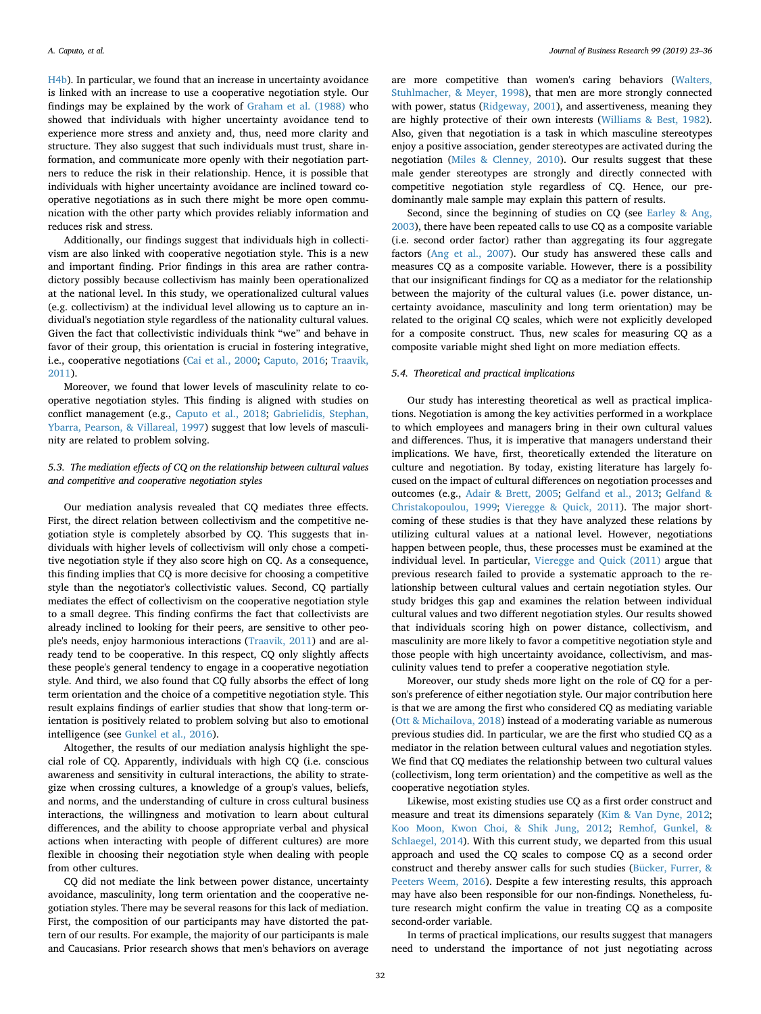[H4b](#page-3-1)). In particular, we found that an increase in uncertainty avoidance is linked with an increase to use a cooperative negotiation style. Our findings may be explained by the work of [Graham et al. \(1988\)](#page-12-27) who showed that individuals with higher uncertainty avoidance tend to experience more stress and anxiety and, thus, need more clarity and structure. They also suggest that such individuals must trust, share information, and communicate more openly with their negotiation partners to reduce the risk in their relationship. Hence, it is possible that individuals with higher uncertainty avoidance are inclined toward cooperative negotiations as in such there might be more open communication with the other party which provides reliably information and reduces risk and stress.

Additionally, our findings suggest that individuals high in collectivism are also linked with cooperative negotiation style. This is a new and important finding. Prior findings in this area are rather contradictory possibly because collectivism has mainly been operationalized at the national level. In this study, we operationalized cultural values (e.g. collectivism) at the individual level allowing us to capture an individual's negotiation style regardless of the nationality cultural values. Given the fact that collectivistic individuals think "we" and behave in favor of their group, this orientation is crucial in fostering integrative, i.e., cooperative negotiations [\(Cai et al., 2000;](#page-12-28) [Caputo, 2016;](#page-12-7) [Traavik,](#page-13-9) [2011\)](#page-13-9).

Moreover, we found that lower levels of masculinity relate to cooperative negotiation styles. This finding is aligned with studies on conflict management (e.g., [Caputo et al., 2018](#page-12-10); [Gabrielidis, Stephan,](#page-12-60) [Ybarra, Pearson, & Villareal, 1997](#page-12-60)) suggest that low levels of masculinity are related to problem solving.

### *5.3. The mediation effects of CQ on the relationship between cultural values and competitive and cooperative negotiation styles*

Our mediation analysis revealed that CQ mediates three effects. First, the direct relation between collectivism and the competitive negotiation style is completely absorbed by CQ. This suggests that individuals with higher levels of collectivism will only chose a competitive negotiation style if they also score high on CQ. As a consequence, this finding implies that CQ is more decisive for choosing a competitive style than the negotiator's collectivistic values. Second, CQ partially mediates the effect of collectivism on the cooperative negotiation style to a small degree. This finding confirms the fact that collectivists are already inclined to looking for their peers, are sensitive to other people's needs, enjoy harmonious interactions ([Traavik, 2011](#page-13-9)) and are already tend to be cooperative. In this respect, CQ only slightly affects these people's general tendency to engage in a cooperative negotiation style. And third, we also found that CQ fully absorbs the effect of long term orientation and the choice of a competitive negotiation style. This result explains findings of earlier studies that show that long-term orientation is positively related to problem solving but also to emotional intelligence (see [Gunkel et al., 2016](#page-12-18)).

Altogether, the results of our mediation analysis highlight the special role of CQ. Apparently, individuals with high CQ (i.e. conscious awareness and sensitivity in cultural interactions, the ability to strategize when crossing cultures, a knowledge of a group's values, beliefs, and norms, and the understanding of culture in cross cultural business interactions, the willingness and motivation to learn about cultural differences, and the ability to choose appropriate verbal and physical actions when interacting with people of different cultures) are more flexible in choosing their negotiation style when dealing with people from other cultures.

CQ did not mediate the link between power distance, uncertainty avoidance, masculinity, long term orientation and the cooperative negotiation styles. There may be several reasons for this lack of mediation. First, the composition of our participants may have distorted the pattern of our results. For example, the majority of our participants is male and Caucasians. Prior research shows that men's behaviors on average

are more competitive than women's caring behaviors ([Walters,](#page-13-17) [Stuhlmacher, & Meyer, 1998\)](#page-13-17), that men are more strongly connected with power, status [\(Ridgeway, 2001](#page-13-18)), and assertiveness, meaning they are highly protective of their own interests ([Williams & Best, 1982](#page-13-19)). Also, given that negotiation is a task in which masculine stereotypes enjoy a positive association, gender stereotypes are activated during the negotiation ([Miles & Clenney, 2010](#page-12-61)). Our results suggest that these male gender stereotypes are strongly and directly connected with competitive negotiation style regardless of CQ. Hence, our predominantly male sample may explain this pattern of results.

Second, since the beginning of studies on CO (see [Earley & Ang,](#page-12-9) [2003\)](#page-12-9), there have been repeated calls to use CQ as a composite variable (i.e. second order factor) rather than aggregating its four aggregate factors [\(Ang et al., 2007](#page-11-3)). Our study has answered these calls and measures CQ as a composite variable. However, there is a possibility that our insignificant findings for CQ as a mediator for the relationship between the majority of the cultural values (i.e. power distance, uncertainty avoidance, masculinity and long term orientation) may be related to the original CQ scales, which were not explicitly developed for a composite construct. Thus, new scales for measuring CQ as a composite variable might shed light on more mediation effects.

### *5.4. Theoretical and practical implications*

Our study has interesting theoretical as well as practical implications. Negotiation is among the key activities performed in a workplace to which employees and managers bring in their own cultural values and differences. Thus, it is imperative that managers understand their implications. We have, first, theoretically extended the literature on culture and negotiation. By today, existing literature has largely focused on the impact of cultural differences on negotiation processes and outcomes (e.g., [Adair & Brett, 2005](#page-11-0); [Gelfand et al., 2013;](#page-12-19) [Gelfand &](#page-12-20) [Christakopoulou, 1999](#page-12-20); [Vieregge & Quick, 2011\)](#page-13-2). The major shortcoming of these studies is that they have analyzed these relations by utilizing cultural values at a national level. However, negotiations happen between people, thus, these processes must be examined at the individual level. In particular, [Vieregge and Quick \(2011\)](#page-13-2) argue that previous research failed to provide a systematic approach to the relationship between cultural values and certain negotiation styles. Our study bridges this gap and examines the relation between individual cultural values and two different negotiation styles. Our results showed that individuals scoring high on power distance, collectivism, and masculinity are more likely to favor a competitive negotiation style and those people with high uncertainty avoidance, collectivism, and masculinity values tend to prefer a cooperative negotiation style.

Moreover, our study sheds more light on the role of CQ for a person's preference of either negotiation style. Our major contribution here is that we are among the first who considered CQ as mediating variable ([Ott & Michailova, 2018](#page-12-11)) instead of a moderating variable as numerous previous studies did. In particular, we are the first who studied CQ as a mediator in the relation between cultural values and negotiation styles. We find that CQ mediates the relationship between two cultural values (collectivism, long term orientation) and the competitive as well as the cooperative negotiation styles.

Likewise, most existing studies use CQ as a first order construct and measure and treat its dimensions separately [\(Kim & Van Dyne, 2012](#page-12-62); [Koo Moon, Kwon Choi, & Shik Jung, 2012;](#page-12-63) [Remhof, Gunkel, &](#page-13-20) [Schlaegel, 2014\)](#page-13-20). With this current study, we departed from this usual approach and used the CQ scales to compose CQ as a second order construct and thereby answer calls for such studies ([Bücker, Furrer, &](#page-12-64) [Peeters Weem, 2016](#page-12-64)). Despite a few interesting results, this approach may have also been responsible for our non-findings. Nonetheless, future research might confirm the value in treating CQ as a composite second-order variable.

In terms of practical implications, our results suggest that managers need to understand the importance of not just negotiating across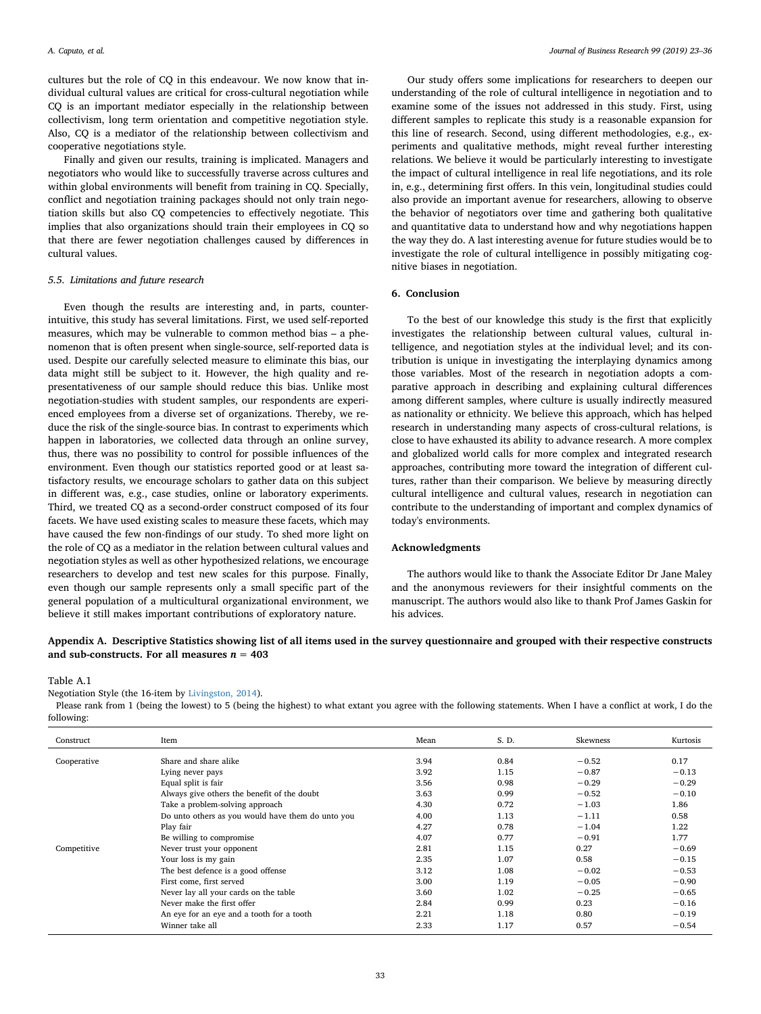cultures but the role of CQ in this endeavour. We now know that individual cultural values are critical for cross-cultural negotiation while CQ is an important mediator especially in the relationship between collectivism, long term orientation and competitive negotiation style. Also, CQ is a mediator of the relationship between collectivism and cooperative negotiations style.

Finally and given our results, training is implicated. Managers and negotiators who would like to successfully traverse across cultures and within global environments will benefit from training in CQ. Specially, conflict and negotiation training packages should not only train negotiation skills but also CQ competencies to effectively negotiate. This implies that also organizations should train their employees in CQ so that there are fewer negotiation challenges caused by differences in cultural values.

### *5.5. Limitations and future research*

Even though the results are interesting and, in parts, counterintuitive, this study has several limitations. First, we used self-reported measures, which may be vulnerable to common method bias – a phenomenon that is often present when single-source, self-reported data is used. Despite our carefully selected measure to eliminate this bias, our data might still be subject to it. However, the high quality and representativeness of our sample should reduce this bias. Unlike most negotiation-studies with student samples, our respondents are experienced employees from a diverse set of organizations. Thereby, we reduce the risk of the single-source bias. In contrast to experiments which happen in laboratories, we collected data through an online survey, thus, there was no possibility to control for possible influences of the environment. Even though our statistics reported good or at least satisfactory results, we encourage scholars to gather data on this subject in different was, e.g., case studies, online or laboratory experiments. Third, we treated CQ as a second-order construct composed of its four facets. We have used existing scales to measure these facets, which may have caused the few non-findings of our study. To shed more light on the role of CQ as a mediator in the relation between cultural values and negotiation styles as well as other hypothesized relations, we encourage researchers to develop and test new scales for this purpose. Finally, even though our sample represents only a small specific part of the general population of a multicultural organizational environment, we believe it still makes important contributions of exploratory nature.

Our study offers some implications for researchers to deepen our understanding of the role of cultural intelligence in negotiation and to examine some of the issues not addressed in this study. First, using different samples to replicate this study is a reasonable expansion for this line of research. Second, using different methodologies, e.g., experiments and qualitative methods, might reveal further interesting relations. We believe it would be particularly interesting to investigate the impact of cultural intelligence in real life negotiations, and its role in, e.g., determining first offers. In this vein, longitudinal studies could also provide an important avenue for researchers, allowing to observe the behavior of negotiators over time and gathering both qualitative and quantitative data to understand how and why negotiations happen the way they do. A last interesting avenue for future studies would be to investigate the role of cultural intelligence in possibly mitigating cognitive biases in negotiation.

### **6. Conclusion**

To the best of our knowledge this study is the first that explicitly investigates the relationship between cultural values, cultural intelligence, and negotiation styles at the individual level; and its contribution is unique in investigating the interplaying dynamics among those variables. Most of the research in negotiation adopts a comparative approach in describing and explaining cultural differences among different samples, where culture is usually indirectly measured as nationality or ethnicity. We believe this approach, which has helped research in understanding many aspects of cross-cultural relations, is close to have exhausted its ability to advance research. A more complex and globalized world calls for more complex and integrated research approaches, contributing more toward the integration of different cultures, rather than their comparison. We believe by measuring directly cultural intelligence and cultural values, research in negotiation can contribute to the understanding of important and complex dynamics of today's environments.

## **Acknowledgments**

The authors would like to thank the Associate Editor Dr Jane Maley and the anonymous reviewers for their insightful comments on the manuscript. The authors would also like to thank Prof James Gaskin for his advices.

**Appendix A. Descriptive Statistics showing list of all items used in the survey questionnaire and grouped with their respective constructs** and sub-constructs. For all measures  $n = 403$ 

Table A.1

Negotiation Style (the 16-item by [Livingston, 2014](#page-12-37)).

Please rank from 1 (being the lowest) to 5 (being the highest) to what extant you agree with the following statements. When I have a conflict at work, I do the following:

| Construct   | Item                                              | Mean         | S. D.        | Skewness           | Kurtosis           |
|-------------|---------------------------------------------------|--------------|--------------|--------------------|--------------------|
| Cooperative | Share and share alike                             | 3.94         | 0.84         | $-0.52$            | 0.17               |
|             | Lying never pays<br>Equal split is fair           | 3.92<br>3.56 | 1.15<br>0.98 | $-0.87$<br>$-0.29$ | $-0.13$<br>$-0.29$ |
|             | Always give others the benefit of the doubt       | 3.63         | 0.99         | $-0.52$            | $-0.10$            |
|             | Take a problem-solving approach                   | 4.30         | 0.72         | $-1.03$            | 1.86               |
|             | Do unto others as you would have them do unto you | 4.00         | 1.13         | $-1.11$            | 0.58               |
|             | Play fair                                         | 4.27         | 0.78         | $-1.04$            | 1.22               |
|             | Be willing to compromise                          | 4.07         | 0.77         | $-0.91$            | 1.77               |
| Competitive | Never trust your opponent                         | 2.81         | 1.15         | 0.27               | $-0.69$            |
|             | Your loss is my gain                              | 2.35         | 1.07         | 0.58               | $-0.15$            |
|             | The best defence is a good offense                | 3.12         | 1.08         | $-0.02$            | $-0.53$            |
|             | First come, first served                          | 3.00         | 1.19         | $-0.05$            | $-0.90$            |
|             | Never lay all your cards on the table             | 3.60         | 1.02         | $-0.25$            | $-0.65$            |
|             | Never make the first offer                        | 2.84         | 0.99         | 0.23               | $-0.16$            |
|             | An eye for an eye and a tooth for a tooth         | 2.21         | 1.18         | 0.80               | $-0.19$            |
|             | Winner take all                                   | 2.33         | 1.17         | 0.57               | $-0.54$            |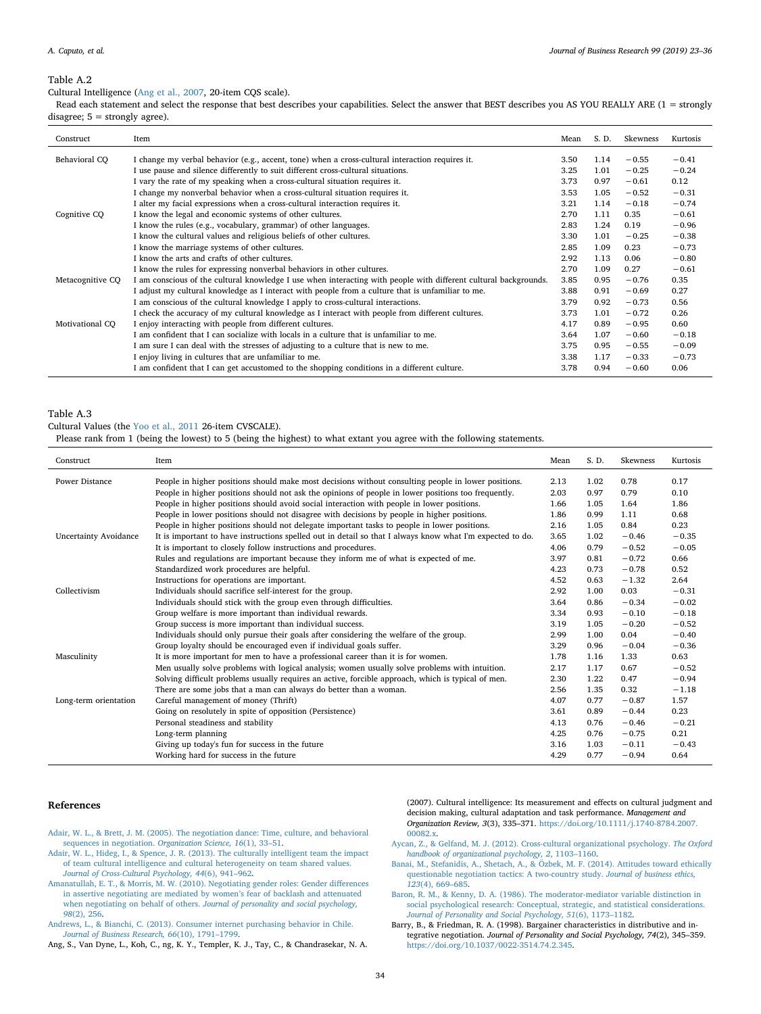#### Table A.2

### Cultural Intelligence ([Ang et al., 2007,](#page-11-3) 20-item CQS scale).

Read each statement and select the response that best describes your capabilities. Select the answer that BEST describes you AS YOU REALLY ARE (1 = strongly disagree;  $5 =$  strongly agree).

| Construct        | Item                                                                                                             | Mean | S. D. | Skewness | Kurtosis |
|------------------|------------------------------------------------------------------------------------------------------------------|------|-------|----------|----------|
| Behavioral CO    | I change my verbal behavior (e.g., accent, tone) when a cross-cultural interaction requires it.                  | 3.50 | 1.14  | $-0.55$  | $-0.41$  |
|                  | I use pause and silence differently to suit different cross-cultural situations.                                 | 3.25 | 1.01  | $-0.25$  | $-0.24$  |
|                  | I vary the rate of my speaking when a cross-cultural situation requires it.                                      | 3.73 | 0.97  | $-0.61$  | 0.12     |
|                  | I change my nonverbal behavior when a cross-cultural situation requires it.                                      | 3.53 | 1.05  | $-0.52$  | $-0.31$  |
|                  | I alter my facial expressions when a cross-cultural interaction requires it.                                     | 3.21 | 1.14  | $-0.18$  | $-0.74$  |
| Cognitive CQ     | I know the legal and economic systems of other cultures.                                                         | 2.70 | 1.11  | 0.35     | $-0.61$  |
|                  | I know the rules (e.g., vocabulary, grammar) of other languages.                                                 | 2.83 | 1.24  | 0.19     | $-0.96$  |
|                  | I know the cultural values and religious beliefs of other cultures.                                              | 3.30 | 1.01  | $-0.25$  | $-0.38$  |
|                  | I know the marriage systems of other cultures.                                                                   | 2.85 | 1.09  | 0.23     | $-0.73$  |
|                  | I know the arts and crafts of other cultures.                                                                    | 2.92 | 1.13  | 0.06     | $-0.80$  |
|                  | I know the rules for expressing nonverbal behaviors in other cultures.                                           | 2.70 | 1.09  | 0.27     | $-0.61$  |
| Metacognitive CQ | I am conscious of the cultural knowledge I use when interacting with people with different cultural backgrounds. | 3.85 | 0.95  | $-0.76$  | 0.35     |
|                  | I adjust my cultural knowledge as I interact with people from a culture that is unfamiliar to me.                | 3.88 | 0.91  | $-0.69$  | 0.27     |
|                  | I am conscious of the cultural knowledge I apply to cross-cultural interactions.                                 | 3.79 | 0.92  | $-0.73$  | 0.56     |
|                  | I check the accuracy of my cultural knowledge as I interact with people from different cultures.                 | 3.73 | 1.01  | $-0.72$  | 0.26     |
| Motivational CO  | I enjoy interacting with people from different cultures.                                                         | 4.17 | 0.89  | $-0.95$  | 0.60     |
|                  | I am confident that I can socialize with locals in a culture that is unfamiliar to me.                           | 3.64 | 1.07  | $-0.60$  | $-0.18$  |
|                  | I am sure I can deal with the stresses of adjusting to a culture that is new to me.                              | 3.75 | 0.95  | $-0.55$  | $-0.09$  |
|                  | I enjoy living in cultures that are unfamiliar to me.                                                            | 3.38 | 1.17  | $-0.33$  | $-0.73$  |
|                  | I am confident that I can get accustomed to the shopping conditions in a different culture.                      | 3.78 | 0.94  | $-0.60$  | 0.06     |

### Table A.3

### Cultural Values (the [Yoo et al., 2011](#page-13-4) 26-item CVSCALE).

Please rank from 1 (being the lowest) to 5 (being the highest) to what extant you agree with the following statements.

| Construct                    | Item                                                                                                      | Mean | S. D. | Skewness | Kurtosis |
|------------------------------|-----------------------------------------------------------------------------------------------------------|------|-------|----------|----------|
| Power Distance               | People in higher positions should make most decisions without consulting people in lower positions.       | 2.13 | 1.02  | 0.78     | 0.17     |
|                              | People in higher positions should not ask the opinions of people in lower positions too frequently.       | 2.03 | 0.97  | 0.79     | 0.10     |
|                              | People in higher positions should avoid social interaction with people in lower positions.                | 1.66 | 1.05  | 1.64     | 1.86     |
|                              | People in lower positions should not disagree with decisions by people in higher positions.               | 1.86 | 0.99  | 1.11     | 0.68     |
|                              | People in higher positions should not delegate important tasks to people in lower positions.              | 2.16 | 1.05  | 0.84     | 0.23     |
| <b>Uncertainty Avoidance</b> | It is important to have instructions spelled out in detail so that I always know what I'm expected to do. | 3.65 | 1.02  | $-0.46$  | $-0.35$  |
|                              | It is important to closely follow instructions and procedures.                                            | 4.06 | 0.79  | $-0.52$  | $-0.05$  |
|                              | Rules and regulations are important because they inform me of what is expected of me.                     | 3.97 | 0.81  | $-0.72$  | 0.66     |
|                              | Standardized work procedures are helpful.                                                                 | 4.23 | 0.73  | $-0.78$  | 0.52     |
|                              | Instructions for operations are important.                                                                | 4.52 | 0.63  | $-1.32$  | 2.64     |
| Collectivism                 | Individuals should sacrifice self-interest for the group.                                                 | 2.92 | 1.00  | 0.03     | $-0.31$  |
|                              | Individuals should stick with the group even through difficulties.                                        | 3.64 | 0.86  | $-0.34$  | $-0.02$  |
|                              | Group welfare is more important than individual rewards.                                                  | 3.34 | 0.93  | $-0.10$  | $-0.18$  |
|                              | Group success is more important than individual success.                                                  | 3.19 | 1.05  | $-0.20$  | $-0.52$  |
|                              | Individuals should only pursue their goals after considering the welfare of the group.                    | 2.99 | 1.00  | 0.04     | $-0.40$  |
|                              | Group loyalty should be encouraged even if individual goals suffer.                                       | 3.29 | 0.96  | $-0.04$  | $-0.36$  |
| Masculinity                  | It is more important for men to have a professional career than it is for women.                          | 1.78 | 1.16  | 1.33     | 0.63     |
|                              | Men usually solve problems with logical analysis; women usually solve problems with intuition.            | 2.17 | 1.17  | 0.67     | $-0.52$  |
|                              | Solving difficult problems usually requires an active, forcible approach, which is typical of men.        | 2.30 | 1.22  | 0.47     | $-0.94$  |
|                              | There are some jobs that a man can always do better than a woman.                                         | 2.56 | 1.35  | 0.32     | $-1.18$  |
| Long-term orientation        | Careful management of money (Thrift)                                                                      | 4.07 | 0.77  | $-0.87$  | 1.57     |
|                              | Going on resolutely in spite of opposition (Persistence)                                                  | 3.61 | 0.89  | $-0.44$  | 0.23     |
|                              | Personal steadiness and stability                                                                         | 4.13 | 0.76  | $-0.46$  | $-0.21$  |
|                              | Long-term planning                                                                                        | 4.25 | 0.76  | $-0.75$  | 0.21     |
|                              | Giving up today's fun for success in the future                                                           | 3.16 | 1.03  | $-0.11$  | $-0.43$  |
|                              | Working hard for success in the future                                                                    | 4.29 | 0.77  | $-0.94$  | 0.64     |
|                              |                                                                                                           |      |       |          |          |

### **References**

- <span id="page-11-0"></span>[Adair, W. L., & Brett, J. M. \(2005\). The negotiation dance: Time, culture, and behavioral](http://refhub.elsevier.com/S0148-2963(19)30101-8/rf0005) [sequences in negotiation.](http://refhub.elsevier.com/S0148-2963(19)30101-8/rf0005) *Organization Science, 16*(1), 33–51.
- <span id="page-11-1"></span>[Adair, W. L., Hideg, I., & Spence, J. R. \(2013\). The culturally intelligent team the impact](http://refhub.elsevier.com/S0148-2963(19)30101-8/rf0010) [of team cultural intelligence and cultural heterogeneity on team shared values.](http://refhub.elsevier.com/S0148-2963(19)30101-8/rf0010) *[Journal of Cross-Cultural Psychology, 44](http://refhub.elsevier.com/S0148-2963(19)30101-8/rf0010)*(6), 941–962.
- <span id="page-11-8"></span>[Amanatullah, E. T., & Morris, M. W. \(2010\). Negotiating gender roles: Gender differences](http://refhub.elsevier.com/S0148-2963(19)30101-8/rf2015) [in assertive negotiating are mediated by women's fear of backlash and attenuated](http://refhub.elsevier.com/S0148-2963(19)30101-8/rf2015) when negotiating on behalf of others. *[Journal of personality and social psychology,](http://refhub.elsevier.com/S0148-2963(19)30101-8/rf2015) 98*[\(2\), 256.](http://refhub.elsevier.com/S0148-2963(19)30101-8/rf2015)
- <span id="page-11-6"></span>[Andrews, L., & Bianchi, C. \(2013\). Consumer internet purchasing behavior in Chile.](http://refhub.elsevier.com/S0148-2963(19)30101-8/rf0015) *[Journal of Business Research, 66](http://refhub.elsevier.com/S0148-2963(19)30101-8/rf0015)*(10), 1791–1799.

<span id="page-11-3"></span>Ang, S., Van Dyne, L., Koh, C., ng, K. Y., Templer, K. J., Tay, C., & Chandrasekar, N. A.

(2007). Cultural intelligence: Its measurement and effects on cultural judgment and decision making, cultural adaptation and task performance. *Management and Organization Review, 3*(3), 335–371. [https://doi.org/10.1111/j.1740-8784.2007.](https://doi.org/10.1111/j.1740-8784.2007.00082.x) [00082.x.](https://doi.org/10.1111/j.1740-8784.2007.00082.x)

- <span id="page-11-4"></span>[Aycan, Z., & Gelfand, M. J. \(2012\). Cross-cultural organizational psychology.](http://refhub.elsevier.com/S0148-2963(19)30101-8/rf2010) *The Oxford [handbook of organizational psychology, 2](http://refhub.elsevier.com/S0148-2963(19)30101-8/rf2010)*, 1103–1160.
- <span id="page-11-2"></span>[Banai, M., Stefanidis, A., Shetach, A., & Özbek, M. F. \(2014\). Attitudes toward ethically](http://refhub.elsevier.com/S0148-2963(19)30101-8/rf2005) [questionable negotiation tactics: A two-country study.](http://refhub.elsevier.com/S0148-2963(19)30101-8/rf2005) *Journal of business ethics, 123*[\(4\), 669–685](http://refhub.elsevier.com/S0148-2963(19)30101-8/rf2005).
- <span id="page-11-7"></span>[Baron, R. M., & Kenny, D. A. \(1986\). The moderator-mediator variable distinction in](http://refhub.elsevier.com/S0148-2963(19)30101-8/rf0025) [social psychological research: Conceptual, strategic, and statistical considerations.](http://refhub.elsevier.com/S0148-2963(19)30101-8/rf0025) *[Journal of Personality and Social Psychology, 51](http://refhub.elsevier.com/S0148-2963(19)30101-8/rf0025)*(6), 1173–1182.
- <span id="page-11-5"></span>Barry, B., & Friedman, R. A. (1998). Bargainer characteristics in distributive and integrative negotiation. *Journal of Personality and Social Psychology, 74*(2), 345–359. [https://doi.org/10.1037/0022-3514.74.2.345.](https://doi.org/10.1037/0022-3514.74.2.345)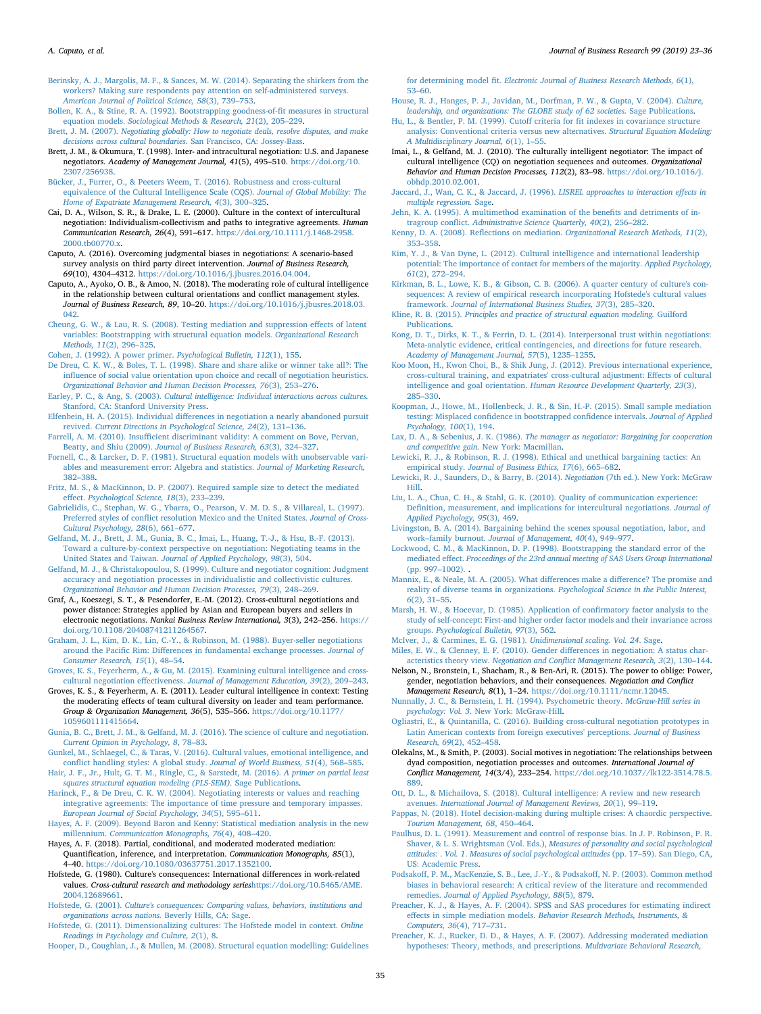<span id="page-12-34"></span>[Berinsky, A. J., Margolis, M. F., & Sances, M. W. \(2014\). Separating the shirkers from the](http://refhub.elsevier.com/S0148-2963(19)30101-8/rf0035) [workers? Making sure respondents pay attention on self-administered surveys.](http://refhub.elsevier.com/S0148-2963(19)30101-8/rf0035) *[American Journal of Political Science, 58](http://refhub.elsevier.com/S0148-2963(19)30101-8/rf0035)*(3), 739–753.

- <span id="page-12-55"></span>[Bollen, K. A., & Stine, R. A. \(1992\). Bootstrapping goodness-of-fit measures in structural](http://refhub.elsevier.com/S0148-2963(19)30101-8/rf0040) equation models. *[Sociological Methods & Research, 21](http://refhub.elsevier.com/S0148-2963(19)30101-8/rf0040)*(2), 205–229.
- <span id="page-12-32"></span>Brett, J. M. (2007). *[Negotiating globally: How to negotiate deals, resolve disputes, and make](http://refhub.elsevier.com/S0148-2963(19)30101-8/rf0045) [decisions across cultural boundaries.](http://refhub.elsevier.com/S0148-2963(19)30101-8/rf0045)* San Francisco, CA: Jossey-Bass.
- <span id="page-12-5"></span>Brett, J. M., & Okumura, T. (1998). Inter- and intracultural negotiation: U.S. and Japanese negotiators. *Academy of Management Journal, 41*(5), 495–510. [https://doi.org/10.](https://doi.org/10.2307/256938) [2307/256938.](https://doi.org/10.2307/256938)
- <span id="page-12-64"></span>[Bücker, J., Furrer, O., & Peeters Weem, T. \(2016\). Robustness and cross-cultural](http://refhub.elsevier.com/S0148-2963(19)30101-8/rf0055) [equivalence of the Cultural Intelligence Scale \(CQS\).](http://refhub.elsevier.com/S0148-2963(19)30101-8/rf0055) *Journal of Global Mobility: The [Home of Expatriate Management Research, 4](http://refhub.elsevier.com/S0148-2963(19)30101-8/rf0055)*(3), 300–325.
- <span id="page-12-28"></span>Cai, D. A., Wilson, S. R., & Drake, L. E. (2000). Culture in the context of intercultural negotiation: Individualism-collectivism and paths to integrative agreements. *Human Communication Research, 26*(4), 591–617. [https://doi.org/10.1111/j.1468-2958.](https://doi.org/10.1111/j.1468-2958.2000.tb00770.x) [2000.tb00770.x](https://doi.org/10.1111/j.1468-2958.2000.tb00770.x).
- <span id="page-12-7"></span>Caputo, A. (2016). Overcoming judgmental biases in negotiations: A scenario-based survey analysis on third party direct intervention. *Journal of Business Research, 69*(10), 4304–4312. <https://doi.org/10.1016/j.jbusres.2016.04.004>.
- <span id="page-12-10"></span>Caputo, A., Ayoko, O. B., & Amoo, N. (2018). The moderating role of cultural intelligence in the relationship between cultural orientations and conflict management styles. *Journal of Business Research, 89*, 10–20. [https://doi.org/10.1016/j.jbusres.2018.03.](https://doi.org/10.1016/j.jbusres.2018.03.042)  $042$
- <span id="page-12-56"></span>[Cheung, G. W., & Lau, R. S. \(2008\). Testing mediation and suppression effects of latent](http://refhub.elsevier.com/S0148-2963(19)30101-8/rf0075) [variables: Bootstrapping with structural equation models.](http://refhub.elsevier.com/S0148-2963(19)30101-8/rf0075) *Organizational Research Methods, 11*[\(2\), 296–325](http://refhub.elsevier.com/S0148-2963(19)30101-8/rf0075).
- <span id="page-12-59"></span>[Cohen, J. \(1992\). A power primer.](http://refhub.elsevier.com/S0148-2963(19)30101-8/rf0080) *Psychological Bulletin, 112*(1), 155.
- <span id="page-12-15"></span>[De Dreu, C. K. W., & Boles, T. L. \(1998\). Share and share alike or winner take all?: The](http://refhub.elsevier.com/S0148-2963(19)30101-8/rf0085) [influence of social value orientation upon choice and recall of negotiation heuristics.](http://refhub.elsevier.com/S0148-2963(19)30101-8/rf0085) *[Organizational Behavior and Human Decision Processes, 76](http://refhub.elsevier.com/S0148-2963(19)30101-8/rf0085)*(3), 253–276.
- <span id="page-12-9"></span>Earley, P. C., & Ang, S. (2003). *[Cultural intelligence: Individual interactions across cultures.](http://refhub.elsevier.com/S0148-2963(19)30101-8/rf0095)* [Stanford, CA: Stanford University Press](http://refhub.elsevier.com/S0148-2963(19)30101-8/rf0095).
- <span id="page-12-8"></span>[Elfenbein, H. A. \(2015\). Individual differences in negotiation a nearly abandoned pursuit](http://refhub.elsevier.com/S0148-2963(19)30101-8/rf0100) revived. *[Current Directions in Psychological Science, 24](http://refhub.elsevier.com/S0148-2963(19)30101-8/rf0100)*(2), 131–136.
- <span id="page-12-41"></span>[Farrell, A. M. \(2010\). Insufficient discriminant validity: A comment on Bove, Pervan,](http://refhub.elsevier.com/S0148-2963(19)30101-8/rf0105) Beatty, and Shiu (2009). *[Journal of Business Research, 63](http://refhub.elsevier.com/S0148-2963(19)30101-8/rf0105)*(3), 324–327.
- <span id="page-12-40"></span>[Fornell, C., & Larcker, D. F. \(1981\). Structural equation models with unobservable vari](http://refhub.elsevier.com/S0148-2963(19)30101-8/rf0110)[ables and measurement error: Algebra and statistics.](http://refhub.elsevier.com/S0148-2963(19)30101-8/rf0110) *Journal of Marketing Research,* [382–388](http://refhub.elsevier.com/S0148-2963(19)30101-8/rf0110).
- <span id="page-12-53"></span>[Fritz, M. S., & MacKinnon, D. P. \(2007\). Required sample size to detect the mediated](http://refhub.elsevier.com/S0148-2963(19)30101-8/rf0115) effect. *[Psychological Science, 18](http://refhub.elsevier.com/S0148-2963(19)30101-8/rf0115)*(3), 233–239.
- <span id="page-12-60"></span>[Gabrielidis, C., Stephan, W. G., Ybarra, O., Pearson, V. M. D. S., & Villareal, L. \(1997\).](http://refhub.elsevier.com/S0148-2963(19)30101-8/rf0120) [Preferred styles of conflict resolution Mexico and the United States.](http://refhub.elsevier.com/S0148-2963(19)30101-8/rf0120) *Journal of Cross-[Cultural Psychology, 28](http://refhub.elsevier.com/S0148-2963(19)30101-8/rf0120)*(6), 661–677.
- <span id="page-12-19"></span>[Gelfand, M. J., Brett, J. M., Gunia, B. C., Imai, L., Huang, T.-J., & Hsu, B.-F. \(2013\).](http://refhub.elsevier.com/S0148-2963(19)30101-8/rf0125) [Toward a culture-by-context perspective on negotiation: Negotiating teams in the](http://refhub.elsevier.com/S0148-2963(19)30101-8/rf0125) United States and Taiwan. *[Journal of Applied Psychology, 98](http://refhub.elsevier.com/S0148-2963(19)30101-8/rf0125)*(3), 504.
- <span id="page-12-20"></span>[Gelfand, M. J., & Christakopoulou, S. \(1999\). Culture and negotiator cognition: Judgment](http://refhub.elsevier.com/S0148-2963(19)30101-8/rf0130) [accuracy and negotiation processes in individualistic and collectivistic cultures.](http://refhub.elsevier.com/S0148-2963(19)30101-8/rf0130) *[Organizational Behavior and Human Decision Processes, 79](http://refhub.elsevier.com/S0148-2963(19)30101-8/rf0130)*(3), 248–269.
- <span id="page-12-26"></span>Graf, A., Koeszegi, S. T., & Pesendorfer, E.-M. (2012). Cross-cultural negotiations and power distance: Strategies applied by Asian and European buyers and sellers in electronic negotiations. *Nankai Business Review International, 3*(3), 242–256. [https://](https://doi.org/10.1108/20408741211264567) [doi.org/10.1108/20408741211264567](https://doi.org/10.1108/20408741211264567).
- <span id="page-12-27"></span>[Graham, J. L., Kim, D. K., Lin, C.-Y., & Robinson, M. \(1988\). Buyer-seller negotiations](http://refhub.elsevier.com/S0148-2963(19)30101-8/rf0140) [around the Pacific Rim: Differences in fundamental exchange processes.](http://refhub.elsevier.com/S0148-2963(19)30101-8/rf0140) *Journal of [Consumer Research, 15](http://refhub.elsevier.com/S0148-2963(19)30101-8/rf0140)*(1), 48–54.
- <span id="page-12-3"></span>[Groves, K. S., Feyerherm, A., & Gu, M. \(2015\). Examining cultural intelligence and cross](http://refhub.elsevier.com/S0148-2963(19)30101-8/rf0145)cultural negotiation effectiveness. *[Journal of Management Education, 39](http://refhub.elsevier.com/S0148-2963(19)30101-8/rf0145)*(2), 209–243.
- <span id="page-12-30"></span>Groves, K. S., & Feyerherm, A. E. (2011). Leader cultural intelligence in context: Testing the moderating effects of team cultural diversity on leader and team performance. *Group & Organization Management, 36*(5), 535–566. [https://doi.org/10.1177/](https://doi.org/10.1177/1059601111415664) [1059601111415664.](https://doi.org/10.1177/1059601111415664)
- <span id="page-12-1"></span>[Gunia, B. C., Brett, J. M., & Gelfand, M. J. \(2016\). The science of culture and negotiation.](http://refhub.elsevier.com/S0148-2963(19)30101-8/rf0155) *[Current Opinion in Psychology, 8](http://refhub.elsevier.com/S0148-2963(19)30101-8/rf0155)*, 78–83.
- <span id="page-12-18"></span>[Gunkel, M., Schlaegel, C., & Taras, V. \(2016\). Cultural values, emotional intelligence, and](http://refhub.elsevier.com/S0148-2963(19)30101-8/rf0160) [conflict handling styles: A global study.](http://refhub.elsevier.com/S0148-2963(19)30101-8/rf0160) *Journal of World Business, 51*(4), 568–585.
- <span id="page-12-38"></span>[Hair, J. F., Jr., Hult, G. T. M., Ringle, C., & Sarstedt, M. \(2016\).](http://refhub.elsevier.com/S0148-2963(19)30101-8/rf0165) *A primer on partial least [squares structural equation modeling \(PLS-SEM\).](http://refhub.elsevier.com/S0148-2963(19)30101-8/rf0165)* Sage Publications.
- <span id="page-12-17"></span>[Harinck, F., & De Dreu, C. K. W. \(2004\). Negotiating interests or values and reaching](http://refhub.elsevier.com/S0148-2963(19)30101-8/rf0170) [integrative agreements: The importance of time pressure and temporary impasses.](http://refhub.elsevier.com/S0148-2963(19)30101-8/rf0170) *[European Journal of Social Psychology, 34](http://refhub.elsevier.com/S0148-2963(19)30101-8/rf0170)*(5), 595–611.
- <span id="page-12-54"></span>[Hayes, A. F. \(2009\). Beyond Baron and Kenny: Statistical mediation analysis in the new](http://refhub.elsevier.com/S0148-2963(19)30101-8/rf0175) millennium. *[Communication Monographs, 76](http://refhub.elsevier.com/S0148-2963(19)30101-8/rf0175)*(4), 408–420.
- <span id="page-12-49"></span>Hayes, A. F. (2018). Partial, conditional, and moderated moderated mediation: Quantification, inference, and interpretation. *Communication Monographs, 85*(1), 4–40. [https://doi.org/10.1080/03637751.2017.1352100.](https://doi.org/10.1080/03637751.2017.1352100)
- <span id="page-12-22"></span>Hofstede, G. (1980). Culture's consequences: International differences in work-related values. *Cross-cultural research and methodology series*[https://doi.org/10.5465/AME.](https://doi.org/10.5465/AME.2004.12689661) [2004.12689661](https://doi.org/10.5465/AME.2004.12689661).
- <span id="page-12-24"></span>Hofstede, G. (2001). *[Culture's consequences: Comparing values, behaviors, institutions and](http://refhub.elsevier.com/S0148-2963(19)30101-8/rf0190) [organizations across nations.](http://refhub.elsevier.com/S0148-2963(19)30101-8/rf0190)* Beverly Hills, CA: Sage.
- <span id="page-12-25"></span>[Hofstede, G. \(2011\). Dimensionalizing cultures: The Hofstede model in context.](http://refhub.elsevier.com/S0148-2963(19)30101-8/rf0195) *Online [Readings in Psychology and Culture, 2](http://refhub.elsevier.com/S0148-2963(19)30101-8/rf0195)*(1), 8.
- <span id="page-12-42"></span>[Hooper, D., Coughlan, J., & Mullen, M. \(2008\). Structural equation modelling: Guidelines](http://refhub.elsevier.com/S0148-2963(19)30101-8/rf0200)

for determining model fit. *[Electronic Journal of Business Research Methods, 6](http://refhub.elsevier.com/S0148-2963(19)30101-8/rf0200)*(1), [53–60](http://refhub.elsevier.com/S0148-2963(19)30101-8/rf0200).

- <span id="page-12-21"></span>[House, R. J., Hanges, P. J., Javidan, M., Dorfman, P. W., & Gupta, V. \(2004\).](http://refhub.elsevier.com/S0148-2963(19)30101-8/rf0205) *Culture, [leadership, and organizations: The GLOBE study of 62 societies.](http://refhub.elsevier.com/S0148-2963(19)30101-8/rf0205)* Sage Publications.
- <span id="page-12-45"></span>[Hu, L., & Bentler, P. M. \(1999\). Cutoff criteria for fit indexes in covariance structure](http://refhub.elsevier.com/S0148-2963(19)30101-8/rf0210) [analysis: Conventional criteria versus new alternatives.](http://refhub.elsevier.com/S0148-2963(19)30101-8/rf0210) *Structural Equation Modeling: [A Multidisciplinary Journal, 6](http://refhub.elsevier.com/S0148-2963(19)30101-8/rf0210)*(1), 1–55.
- <span id="page-12-4"></span>Imai, L., & Gelfand, M. J. (2010). The culturally intelligent negotiator: The impact of cultural intelligence (CQ) on negotiation sequences and outcomes. *Organizational Behavior and Human Decision Processes, 112*(2), 83–98. [https://doi.org/10.1016/j.](https://doi.org/10.1016/j.obhdp.2010.02.001) [obhdp.2010.02.001](https://doi.org/10.1016/j.obhdp.2010.02.001).
- <span id="page-12-43"></span>[Jaccard, J., Wan, C. K., & Jaccard, J. \(1996\).](http://refhub.elsevier.com/S0148-2963(19)30101-8/rf0220) *LISREL approaches to interaction effects in [multiple regression.](http://refhub.elsevier.com/S0148-2963(19)30101-8/rf0220)* Sage.
- <span id="page-12-33"></span>[Jehn, K. A. \(1995\). A multimethod examination of the benefits and detriments of in](http://refhub.elsevier.com/S0148-2963(19)30101-8/rf0225)tragroup conflict. *[Administrative Science Quarterly, 40](http://refhub.elsevier.com/S0148-2963(19)30101-8/rf0225)*(2), 256–282.
- <span id="page-12-51"></span>[Kenny, D. A. \(2008\). Reflections on mediation.](http://refhub.elsevier.com/S0148-2963(19)30101-8/rf0230) *Organizational Research Methods, 11*(2), [353–358](http://refhub.elsevier.com/S0148-2963(19)30101-8/rf0230).
- <span id="page-12-62"></span>[Kim, Y. J., & Van Dyne, L. \(2012\). Cultural intelligence and international leadership](http://refhub.elsevier.com/S0148-2963(19)30101-8/rf0235) [potential: The importance of contact for members of the majority.](http://refhub.elsevier.com/S0148-2963(19)30101-8/rf0235) *Applied Psychology, 61*[\(2\), 272–294.](http://refhub.elsevier.com/S0148-2963(19)30101-8/rf0235)
- <span id="page-12-23"></span>[Kirkman, B. L., Lowe, K. B., & Gibson, C. B. \(2006\). A quarter century of culture's con](http://refhub.elsevier.com/S0148-2963(19)30101-8/rf0240)[sequences: A review of empirical research incorporating Hofstede's cultural values](http://refhub.elsevier.com/S0148-2963(19)30101-8/rf0240) framework. *[Journal of International Business Studies, 37](http://refhub.elsevier.com/S0148-2963(19)30101-8/rf0240)*(3), 285–320.

<span id="page-12-44"></span>Kline, R. B. (2015). *[Principles and practice of structural equation modeling.](http://refhub.elsevier.com/S0148-2963(19)30101-8/rf0245)* Guilford [Publications](http://refhub.elsevier.com/S0148-2963(19)30101-8/rf0245).

- <span id="page-12-14"></span>[Kong, D. T., Dirks, K. T., & Ferrin, D. L. \(2014\). Interpersonal trust within negotiations:](http://refhub.elsevier.com/S0148-2963(19)30101-8/rf0250) [Meta-analytic evidence, critical contingencies, and directions for future research.](http://refhub.elsevier.com/S0148-2963(19)30101-8/rf0250) *[Academy of Management Journal, 57](http://refhub.elsevier.com/S0148-2963(19)30101-8/rf0250)*(5), 1235–1255.
- <span id="page-12-63"></span>[Koo Moon, H., Kwon Choi, B., & Shik Jung, J. \(2012\). Previous international experience,](http://refhub.elsevier.com/S0148-2963(19)30101-8/rf0255) [cross-cultural training, and expatriates' cross-cultural adjustment: Effects of cultural](http://refhub.elsevier.com/S0148-2963(19)30101-8/rf0255) intelligence and goal orientation. *[Human Resource Development Quarterly, 23](http://refhub.elsevier.com/S0148-2963(19)30101-8/rf0255)*(3), [285–330](http://refhub.elsevier.com/S0148-2963(19)30101-8/rf0255).
- <span id="page-12-58"></span>[Koopman, J., Howe, M., Hollenbeck, J. R., & Sin, H.-P. \(2015\). Small sample mediation](http://refhub.elsevier.com/S0148-2963(19)30101-8/rf0260) [testing: Misplaced confidence in bootstrapped confidence intervals.](http://refhub.elsevier.com/S0148-2963(19)30101-8/rf0260) *Journal of Applied [Psychology, 100](http://refhub.elsevier.com/S0148-2963(19)30101-8/rf0260)*(1), 194.
- <span id="page-12-0"></span>Lax, D. A., & Sebenius, J. K. (1986). *[The manager as negotiator: Bargaining for cooperation](http://refhub.elsevier.com/S0148-2963(19)30101-8/rf0265) and competitive gain.* [New York: Macmillan.](http://refhub.elsevier.com/S0148-2963(19)30101-8/rf0265)
- <span id="page-12-16"></span>[Lewicki, R. J., & Robinson, R. J. \(1998\). Ethical and unethical bargaining tactics: An](http://refhub.elsevier.com/S0148-2963(19)30101-8/rf0270) empirical study. *[Journal of Business Ethics, 17](http://refhub.elsevier.com/S0148-2963(19)30101-8/rf0270)*(6), 665–682.
- <span id="page-12-12"></span>[Lewicki, R. J., Saunders, D., & Barry, B. \(2014\).](http://refhub.elsevier.com/S0148-2963(19)30101-8/rf0275) *Negotiation* (7th ed.). New York: McGraw [Hill](http://refhub.elsevier.com/S0148-2963(19)30101-8/rf0275).
- <span id="page-12-6"></span>[Liu, L. A., Chua, C. H., & Stahl, G. K. \(2010\). Quality of communication experience:](http://refhub.elsevier.com/S0148-2963(19)30101-8/rf0280) [Definition, measurement, and implications for intercultural negotiations.](http://refhub.elsevier.com/S0148-2963(19)30101-8/rf0280) *Journal of [Applied Psychology, 95](http://refhub.elsevier.com/S0148-2963(19)30101-8/rf0280)*(3), 469.
- <span id="page-12-37"></span>[Livingston, B. A. \(2014\). Bargaining behind the scenes spousal negotiation, labor, and](http://refhub.elsevier.com/S0148-2963(19)30101-8/rf0285) work–family burnout. *[Journal of Management, 40](http://refhub.elsevier.com/S0148-2963(19)30101-8/rf0285)*(4), 949–977.
- <span id="page-12-57"></span>[Lockwood, C. M., & MacKinnon, D. P. \(1998\). Bootstrapping the standard error of the](http://refhub.elsevier.com/S0148-2963(19)30101-8/rf0290) mediated effect. *[Proceedings of the 23rd annual meeting of SAS Users Group International](http://refhub.elsevier.com/S0148-2963(19)30101-8/rf0290)*  $(pn. 997-1002)$ .
- <span id="page-12-31"></span>[Mannix, E., & Neale, M. A. \(2005\). What differences make a difference? The promise and](http://refhub.elsevier.com/S0148-2963(19)30101-8/rf0295) [reality of diverse teams in organizations.](http://refhub.elsevier.com/S0148-2963(19)30101-8/rf0295) *Psychological Science in the Public Interest, 6*[\(2\), 31–55.](http://refhub.elsevier.com/S0148-2963(19)30101-8/rf0295)
- <span id="page-12-46"></span>[Marsh, H. W., & Hocevar, D. \(1985\). Application of confirmatory factor analysis to the](http://refhub.elsevier.com/S0148-2963(19)30101-8/rf0300) [study of self-concept: First-and higher order factor models and their invariance across](http://refhub.elsevier.com/S0148-2963(19)30101-8/rf0300) groups. *[Psychological Bulletin, 97](http://refhub.elsevier.com/S0148-2963(19)30101-8/rf0300)*(3), 562.

<span id="page-12-47"></span>[McIver, J., & Carmines, E. G. \(1981\).](http://refhub.elsevier.com/S0148-2963(19)30101-8/rf0305) *Unidimensional scaling. Vol. 24*. Sage.

- <span id="page-12-61"></span>[Miles, E. W., & Clenney, E. F. \(2010\). Gender differences in negotiation: A status char](http://refhub.elsevier.com/S0148-2963(19)30101-8/rf0310)acteristics theory view. *[Negotiation and Conflict Management Research, 3](http://refhub.elsevier.com/S0148-2963(19)30101-8/rf0310)*(2), 130–144.
- <span id="page-12-29"></span>Nelson, N., Bronstein, I., Shacham, R., & Ben-Ari, R. (2015). The power to oblige: Power, gender, negotiation behaviors, and their consequences. *Negotiation and Conflict Management Research, 8*(1), 1–24. <https://doi.org/10.1111/ncmr.12045>.
- <span id="page-12-39"></span>[Nunnally, J. C., & Bernstein, I. H. \(1994\). Psychometric theory.](http://refhub.elsevier.com/S0148-2963(19)30101-8/rf0320) *McGraw-Hill series in psychology: Vol. 3*[. New York: McGraw-Hill](http://refhub.elsevier.com/S0148-2963(19)30101-8/rf0320).
- <span id="page-12-2"></span>[Ogliastri, E., & Quintanilla, C. \(2016\). Building cross-cultural negotiation prototypes in](http://refhub.elsevier.com/S0148-2963(19)30101-8/rf0325) [Latin American contexts from foreign executives' perceptions.](http://refhub.elsevier.com/S0148-2963(19)30101-8/rf0325) *Journal of Business Research, 69*[\(2\), 452–458](http://refhub.elsevier.com/S0148-2963(19)30101-8/rf0325).
- <span id="page-12-13"></span>Olekalns, M., & Smith, P. (2003). Social motives in negotiation: The relationships between dyad composition, negotiation processes and outcomes. *International Journal of Conflict Management, 14*(3/4), 233–254. [https://doi.org/10.1037//lk122-3514.78.5.](https://doi.org/10.1037//lk122-3514.78.5.889) [889](https://doi.org/10.1037//lk122-3514.78.5.889).
- <span id="page-12-11"></span>[Ott, D. L., & Michailova, S. \(2018\). Cultural intelligence: A review and new research](http://refhub.elsevier.com/S0148-2963(19)30101-8/rf0335) avenues. *[International Journal of Management Reviews, 20](http://refhub.elsevier.com/S0148-2963(19)30101-8/rf0335)*(1), 99–119.
- <span id="page-12-48"></span>[Pappas, N. \(2018\). Hotel decision-making during multiple crises: A chaordic perspective.](http://refhub.elsevier.com/S0148-2963(19)30101-8/rf0340) *[Tourism Management, 68](http://refhub.elsevier.com/S0148-2963(19)30101-8/rf0340)*, 450–464.
- <span id="page-12-35"></span>[Paulhus, D. L. \(1991\). Measurement and control of response bias. In J. P. Robinson, P. R.](http://refhub.elsevier.com/S0148-2963(19)30101-8/rf0345) Shaver, & L. S. Wrightsman (Vol. Eds.), *[Measures of personality and social psychological](http://refhub.elsevier.com/S0148-2963(19)30101-8/rf0345) attitudes:* . *Vol. 1*. *[Measures of social psychological attitudes](http://refhub.elsevier.com/S0148-2963(19)30101-8/rf0345)* (pp. 17–59). San Diego, CA, [US: Academic Press](http://refhub.elsevier.com/S0148-2963(19)30101-8/rf0345).
- <span id="page-12-36"></span>[Podsakoff, P. M., MacKenzie, S. B., Lee, J.-Y., & Podsakoff, N. P. \(2003\). Common method](http://refhub.elsevier.com/S0148-2963(19)30101-8/rf0350) [biases in behavioral research: A critical review of the literature and recommended](http://refhub.elsevier.com/S0148-2963(19)30101-8/rf0350) remedies. *[Journal of Applied Psychology, 88](http://refhub.elsevier.com/S0148-2963(19)30101-8/rf0350)*(5), 879.
- <span id="page-12-52"></span>[Preacher, K. J., & Hayes, A. F. \(2004\). SPSS and SAS procedures for estimating indirect](http://refhub.elsevier.com/S0148-2963(19)30101-8/rf0355) effects in simple mediation models. *[Behavior Research Methods, Instruments, &](http://refhub.elsevier.com/S0148-2963(19)30101-8/rf0355) [Computers, 36](http://refhub.elsevier.com/S0148-2963(19)30101-8/rf0355)*(4), 717–731.
- <span id="page-12-50"></span>[Preacher, K. J., Rucker, D. D., & Hayes, A. F. \(2007\). Addressing moderated mediation](http://refhub.elsevier.com/S0148-2963(19)30101-8/rf0360) [hypotheses: Theory, methods, and prescriptions.](http://refhub.elsevier.com/S0148-2963(19)30101-8/rf0360) *Multivariate Behavioral Research,*